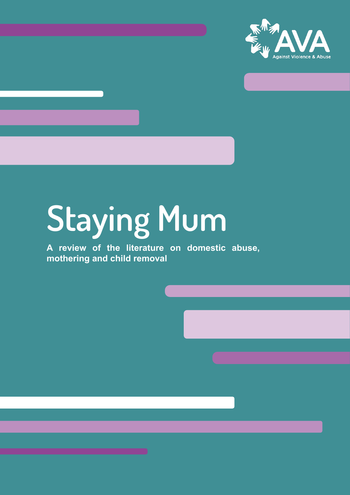

# Staying Mum

**A review of the literature on domestic abuse, mothering and child removal**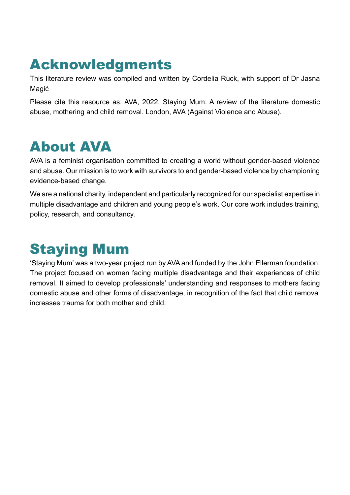# Acknowledgments

This literature review was compiled and written by Cordelia Ruck, with support of Dr Jasna Magić

Please cite this resource as: AVA, 2022. Staying Mum: A review of the literature domestic abuse, mothering and child removal. London, AVA (Against Violence and Abuse).

# About AVA

AVA is a feminist organisation committed to creating a world without gender-based violence and abuse. Our mission is to work with survivors to end gender-based violence by championing evidence-based change.

We are a national charity, independent and particularly recognized for our specialist expertise in multiple disadvantage and children and young people's work. Our core work includes training, policy, research, and consultancy.

# Staying Mum

'Staying Mum' was a two-year project run by AVA and funded by the John Ellerman foundation. The project focused on women facing multiple disadvantage and their experiences of child removal. It aimed to develop professionals' understanding and responses to mothers facing domestic abuse and other forms of disadvantage, in recognition of the fact that child removal increases trauma for both mother and child.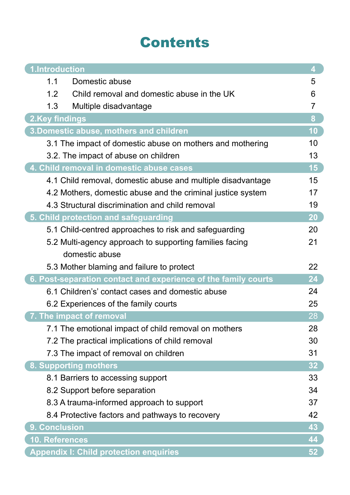# Contents

| 1.Introduction                                                 | 4               |
|----------------------------------------------------------------|-----------------|
| Domestic abuse<br>1.1                                          | 5               |
| 1.2<br>Child removal and domestic abuse in the UK              | 6               |
| 1.3<br>Multiple disadvantage                                   | $\overline{7}$  |
| 2.Key findings                                                 | 8               |
| 3. Domestic abuse, mothers and children                        | 10              |
| 3.1 The impact of domestic abuse on mothers and mothering      | 10              |
| 3.2. The impact of abuse on children                           | 13              |
| 4. Child removal in domestic abuse cases                       | 15              |
| 4.1 Child removal, domestic abuse and multiple disadvantage    | 15              |
| 4.2 Mothers, domestic abuse and the criminal justice system    | 17              |
| 4.3 Structural discrimination and child removal                | 19              |
| 5. Child protection and safeguarding                           | 20              |
| 5.1 Child-centred approaches to risk and safeguarding          | 20              |
| 5.2 Multi-agency approach to supporting families facing        | 21              |
| domestic abuse                                                 |                 |
| 5.3 Mother blaming and failure to protect                      | 22              |
| 6. Post-separation contact and experience of the family courts | 24              |
| 6.1 Children's' contact cases and domestic abuse               | 24              |
| 6.2 Experiences of the family courts                           | 25              |
| 7. The impact of removal                                       | 28              |
| 7.1 The emotional impact of child removal on mothers           | 28              |
| 7.2 The practical implications of child removal                | 30              |
| 7.3 The impact of removal on children                          | 31              |
| 8. Supporting mothers                                          | 32 <sub>2</sub> |
| 8.1 Barriers to accessing support                              | 33              |
| 8.2 Support before separation                                  | 34              |
| 8.3 A trauma-informed approach to support                      | 37              |
| 8.4 Protective factors and pathways to recovery                | 42              |
| <b>Conclusion</b><br>9.                                        | 43              |
| 10. References                                                 | 44              |
| <b>Appendix I: Child protection enquiries</b>                  | 52 <sub>2</sub> |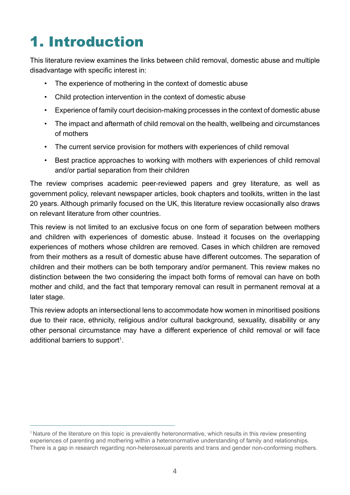# 1. Introduction

This literature review examines the links between child removal, domestic abuse and multiple disadvantage with specific interest in:

- The experience of mothering in the context of domestic abuse
- Child protection intervention in the context of domestic abuse
- Experience of family court decision-making processes in the context of domestic abuse
- The impact and aftermath of child removal on the health, wellbeing and circumstances of mothers
- The current service provision for mothers with experiences of child removal
- Best practice approaches to working with mothers with experiences of child removal and/or partial separation from their children

The review comprises academic peer-reviewed papers and grey literature, as well as government policy, relevant newspaper articles, book chapters and toolkits, written in the last 20 years. Although primarily focused on the UK, this literature review occasionally also draws on relevant literature from other countries.

This review is not limited to an exclusive focus on one form of separation between mothers and children with experiences of domestic abuse. Instead it focuses on the overlapping experiences of mothers whose children are removed. Cases in which children are removed from their mothers as a result of domestic abuse have different outcomes. The separation of children and their mothers can be both temporary and/or permanent. This review makes no distinction between the two considering the impact both forms of removal can have on both mother and child, and the fact that temporary removal can result in permanent removal at a later stage.

This review adopts an intersectional lens to accommodate how women in minoritised positions due to their race, ethnicity, religious and/or cultural background, sexuality, disability or any other personal circumstance may have a different experience of child removal or will face additional barriers to support<sup>1</sup>.

<sup>1</sup> Nature of the literature on this topic is prevalently heteronormative, which results in this review presenting experiences of parenting and mothering within a heteronormative understanding of family and relationships. There is a gap in research regarding non-heterosexual parents and trans and gender non-conforming mothers.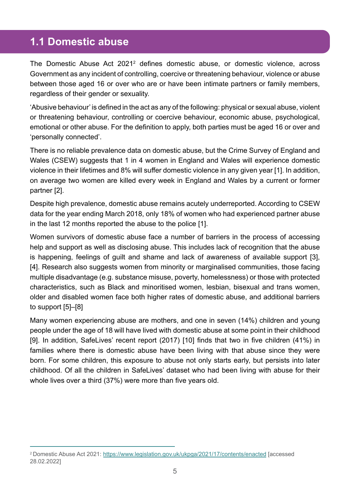#### **1.1 Domestic abuse**

The Domestic Abuse Act 2021<sup>2</sup> defines domestic abuse, or domestic violence, across Government as any incident of controlling, coercive or threatening behaviour, violence or abuse between those aged 16 or over who are or have been intimate partners or family members, regardless of their gender or sexuality.

'Abusive behaviour' is defined in the act as any of the following: physical or sexual abuse, violent or threatening behaviour, controlling or coercive behaviour, economic abuse, psychological, emotional or other abuse. For the definition to apply, both parties must be aged 16 or over and 'personally connected'.

There is no reliable prevalence data on domestic abuse, but the Crime Survey of England and Wales (CSEW) suggests that 1 in 4 women in England and Wales will experience domestic violence in their lifetimes and 8% will suffer domestic violence in any given year [1]. In addition, on average two women are killed every week in England and Wales by a current or former partner [2].

Despite high prevalence, domestic abuse remains acutely underreported. According to CSEW data for the year ending March 2018, only 18% of women who had experienced partner abuse in the last 12 months reported the abuse to the police [1].

Women survivors of domestic abuse face a number of barriers in the process of accessing help and support as well as disclosing abuse. This includes lack of recognition that the abuse is happening, feelings of guilt and shame and lack of awareness of available support [3], [4]. Research also suggests women from minority or marginalised communities, those facing multiple disadvantage (e.g. substance misuse, poverty, homelessness) or those with protected characteristics, such as Black and minoritised women, lesbian, bisexual and trans women, older and disabled women face both higher rates of domestic abuse, and additional barriers to support [5]–[8]

Many women experiencing abuse are mothers, and one in seven (14%) children and young people under the age of 18 will have lived with domestic abuse at some point in their childhood [9]. In addition, SafeLives' recent report (2017) [10] finds that two in five children (41%) in families where there is domestic abuse have been living with that abuse since they were born. For some children, this exposure to abuse not only starts early, but persists into later childhood. Of all the children in SafeLives' dataset who had been living with abuse for their whole lives over a third (37%) were more than five years old.

<sup>2</sup> Domestic Abuse Act 2021:<https://www.legislation.gov.uk/ukpga/2021/17/contents/enacted> [accessed 28.02.2022]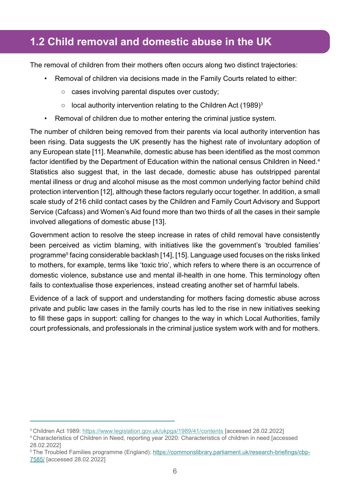### **1.2 Child removal and domestic abuse in the UK**

The removal of children from their mothers often occurs along two distinct trajectories:

- Removal of children via decisions made in the Family Courts related to either:
	- cases involving parental disputes over custody;
	- $\circ$  local authority intervention relating to the Children Act (1989)<sup>3</sup>
- Removal of children due to mother entering the criminal justice system.

The number of children being removed from their parents via local authority intervention has been rising. Data suggests the UK presently has the highest rate of involuntary adoption of any European state [11]. Meanwhile, domestic abuse has been identified as the most common factor identified by the Department of Education within the national census Children in Need.<sup>4</sup> Statistics also suggest that, in the last decade, domestic abuse has outstripped parental mental illness or drug and alcohol misuse as the most common underlying factor behind child protection intervention [12], although these factors regularly occur together. In addition, a small scale study of 216 child contact cases by the Children and Family Court Advisory and Support Service (Cafcass) and Women's Aid found more than two thirds of all the cases in their sample involved allegations of domestic abuse [13].

Government action to resolve the steep increase in rates of child removal have consistently been perceived as victim blaming, with initiatives like the government's 'troubled families' programme<sup>5</sup> facing considerable backlash [14], [15]. Language used focuses on the risks linked to mothers, for example, terms like 'toxic trio', which refers to where there is an occurrence of domestic violence, substance use and mental ill-health in one home. This terminology often fails to contextualise those experiences, instead creating another set of harmful labels.

Evidence of a lack of support and understanding for mothers facing domestic abuse across private and public law cases in the family courts has led to the rise in new initiatives seeking to fill these gaps in support: calling for changes to the way in which Local Authorities, family court professionals, and professionals in the criminal justice system work with and for mothers.

<sup>3</sup> Children Act 1989:<https://www.legislation.gov.uk/ukpga/1989/41/contents>[accessed 28.02.2022]

<sup>4</sup> Characteristics of Children in Need, reporting year 2020: Characteristics of children in need [accessed 28.02.2022]

<sup>&</sup>lt;sup>5</sup> The Troubled Families programme (England): [https://commonslibrary.parliament.uk/research-briefings/cbp-](https://commonslibrary.parliament.uk/research-briefings/cbp-7585/)[7585/](https://commonslibrary.parliament.uk/research-briefings/cbp-7585/) [accessed 28.02.2022]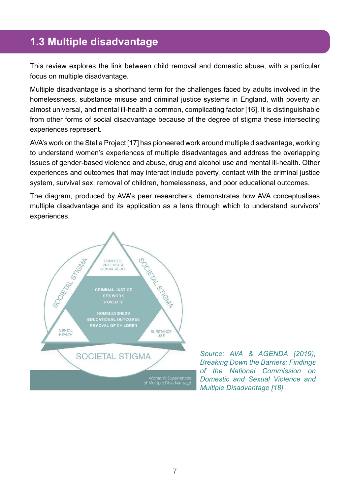### **1.3 Multiple disadvantage**

This review explores the link between child removal and domestic abuse, with a particular focus on multiple disadvantage.

Multiple disadvantage is a shorthand term for the challenges faced by adults involved in the homelessness, substance misuse and criminal justice systems in England, with poverty an almost universal, and mental ill-health a common, complicating factor [16]. It is distinguishable from other forms of social disadvantage because of the degree of stigma these intersecting experiences represent.

AVA's work on the Stella Project [17] has pioneered work around multiple disadvantage, working to understand women's experiences of multiple disadvantages and address the overlapping issues of gender-based violence and abuse, drug and alcohol use and mental ill-health. Other experiences and outcomes that may interact include poverty, contact with the criminal justice system, survival sex, removal of children, homelessness, and poor educational outcomes.

The diagram, produced by AVA's peer researchers, demonstrates how AVA conceptualises multiple disadvantage and its application as a lens through which to understand survivors' experiences.



*Source: AVA & AGENDA (2019), Breaking Down the Barriers: Findings of the National Commission on Domestic and Sexual Violence and Multiple Disadvantage [18]*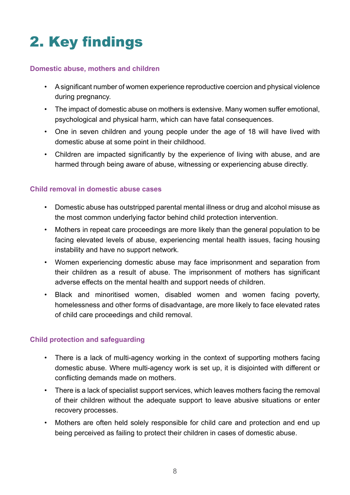# 2. Key findings

#### **Domestic abuse, mothers and children**

- A significant number of women experience reproductive coercion and physical violence during pregnancy.
- The impact of domestic abuse on mothers is extensive. Many women suffer emotional, psychological and physical harm, which can have fatal consequences.
- One in seven children and young people under the age of 18 will have lived with domestic abuse at some point in their childhood.
- Children are impacted significantly by the experience of living with abuse, and are harmed through being aware of abuse, witnessing or experiencing abuse directly.

#### **Child removal in domestic abuse cases**

- Domestic abuse has outstripped parental mental illness or drug and alcohol misuse as the most common underlying factor behind child protection intervention.
- Mothers in repeat care proceedings are more likely than the general population to be facing elevated levels of abuse, experiencing mental health issues, facing housing instability and have no support network.
- Women experiencing domestic abuse may face imprisonment and separation from their children as a result of abuse. The imprisonment of mothers has significant adverse effects on the mental health and support needs of children.
- Black and minoritised women, disabled women and women facing poverty, homelessness and other forms of disadvantage, are more likely to face elevated rates of child care proceedings and child removal.

#### **Child protection and safeguarding**

- There is a lack of multi-agency working in the context of supporting mothers facing domestic abuse. Where multi-agency work is set up, it is disjointed with different or conflicting demands made on mothers.
- There is a lack of specialist support services, which leaves mothers facing the removal of their children without the adequate support to leave abusive situations or enter recovery processes.
- Mothers are often held solely responsible for child care and protection and end up being perceived as failing to protect their children in cases of domestic abuse.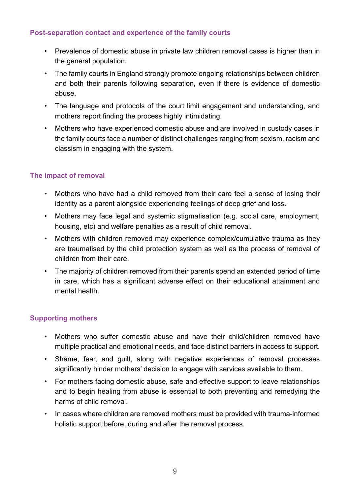#### **Post-separation contact and experience of the family courts**

- Prevalence of domestic abuse in private law children removal cases is higher than in the general population.
- The family courts in England strongly promote ongoing relationships between children and both their parents following separation, even if there is evidence of domestic abuse.
- The language and protocols of the court limit engagement and understanding, and mothers report finding the process highly intimidating.
- Mothers who have experienced domestic abuse and are involved in custody cases in the family courts face a number of distinct challenges ranging from sexism, racism and classism in engaging with the system.

#### **The impact of removal**

- Mothers who have had a child removed from their care feel a sense of losing their identity as a parent alongside experiencing feelings of deep grief and loss.
- Mothers may face legal and systemic stigmatisation (e.g. social care, employment, housing, etc) and welfare penalties as a result of child removal.
- Mothers with children removed may experience complex/cumulative trauma as they are traumatised by the child protection system as well as the process of removal of children from their care.
- The majority of children removed from their parents spend an extended period of time in care, which has a significant adverse effect on their educational attainment and mental health.

#### **Supporting mothers**

- Mothers who suffer domestic abuse and have their child/children removed have multiple practical and emotional needs, and face distinct barriers in access to support.
- Shame, fear, and guilt, along with negative experiences of removal processes significantly hinder mothers' decision to engage with services available to them.
- For mothers facing domestic abuse, safe and effective support to leave relationships and to begin healing from abuse is essential to both preventing and remedying the harms of child removal.
- In cases where children are removed mothers must be provided with trauma-informed holistic support before, during and after the removal process.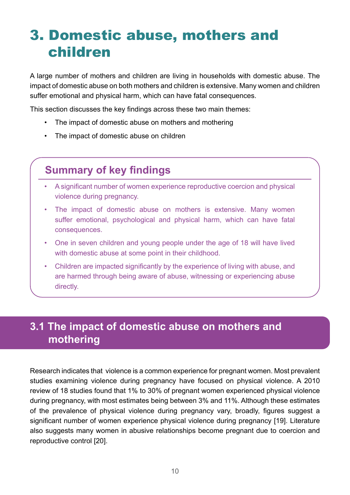# 3. Domestic abuse, mothers and children

A large number of mothers and children are living in households with domestic abuse. The impact of domestic abuse on both mothers and children is extensive. Many women and children suffer emotional and physical harm, which can have fatal consequences.

This section discusses the key findings across these two main themes:

- The impact of domestic abuse on mothers and mothering
- The impact of domestic abuse on children

### **Summary of key findings**

- A significant number of women experience reproductive coercion and physical violence during pregnancy.
- The impact of domestic abuse on mothers is extensive. Many women suffer emotional, psychological and physical harm, which can have fatal consequences.
- One in seven children and young people under the age of 18 will have lived with domestic abuse at some point in their childhood.
- Children are impacted significantly by the experience of living with abuse, and are harmed through being aware of abuse, witnessing or experiencing abuse directly.

### **3.1 The impact of domestic abuse on mothers and mothering**

Research indicates that violence is a common experience for pregnant women. Most prevalent studies examining violence during pregnancy have focused on physical violence. A 2010 review of 18 studies found that 1% to 30% of pregnant women experienced physical violence during pregnancy, with most estimates being between 3% and 11%. Although these estimates of the prevalence of physical violence during pregnancy vary, broadly, figures suggest a significant number of women experience physical violence during pregnancy [19]. Literature also suggests many women in abusive relationships become pregnant due to coercion and reproductive control [20].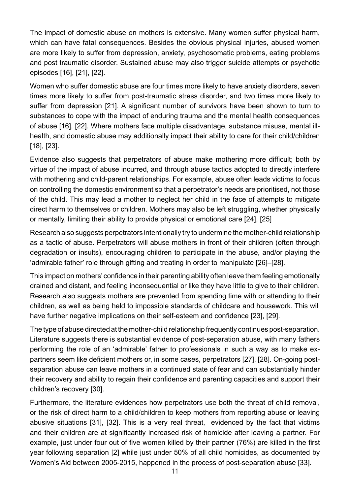The impact of domestic abuse on mothers is extensive. Many women suffer physical harm, which can have fatal consequences. Besides the obvious physical injuries, abused women are more likely to suffer from depression, anxiety, psychosomatic problems, eating problems and post traumatic disorder. Sustained abuse may also trigger suicide attempts or psychotic episodes [16], [21], [22].

Women who suffer domestic abuse are four times more likely to have anxiety disorders, seven times more likely to suffer from post-traumatic stress disorder, and two times more likely to suffer from depression [21]. A significant number of survivors have been shown to turn to substances to cope with the impact of enduring trauma and the mental health consequences of abuse [16], [22]. Where mothers face multiple disadvantage, substance misuse, mental illhealth, and domestic abuse may additionally impact their ability to care for their child/children [18], [23].

Evidence also suggests that perpetrators of abuse make mothering more difficult; both by virtue of the impact of abuse incurred, and through abuse tactics adopted to directly interfere with mothering and child-parent relationships. For example, abuse often leads victims to focus on controlling the domestic environment so that a perpetrator's needs are prioritised, not those of the child. This may lead a mother to neglect her child in the face of attempts to mitigate direct harm to themselves or children. Mothers may also be left struggling, whether physically or mentally, limiting their ability to provide physical or emotional care [24], [25]

Research also suggests perpetrators intentionally try to undermine the mother-child relationship as a tactic of abuse. Perpetrators will abuse mothers in front of their children (often through degradation or insults), encouraging children to participate in the abuse, and/or playing the 'admirable father' role through gifting and treating in order to manipulate [26]–[28].

This impact on mothers' confidence in their parenting ability often leave them feeling emotionally drained and distant, and feeling inconsequential or like they have little to give to their children. Research also suggests mothers are prevented from spending time with or attending to their children, as well as being held to impossible standards of childcare and housework. This will have further negative implications on their self-esteem and confidence [23], [29].

The type of abuse directed at the mother-child relationship frequently continues post-separation. Literature suggests there is substantial evidence of post-separation abuse, with many fathers performing the role of an 'admirable' father to professionals in such a way as to make expartners seem like deficient mothers or, in some cases, perpetrators [27], [28]. On-going postseparation abuse can leave mothers in a continued state of fear and can substantially hinder their recovery and ability to regain their confidence and parenting capacities and support their children's recovery [30].

Furthermore, the literature evidences how perpetrators use both the threat of child removal, or the risk of direct harm to a child/children to keep mothers from reporting abuse or leaving abusive situations [31], [32]. This is a very real threat, evidenced by the fact that victims and their children are at significantly increased risk of homicide after leaving a partner. For example, just under four out of five women killed by their partner (76%) are killed in the first year following separation [2] while just under 50% of all child homicides, as documented by Women's Aid between 2005-2015, happened in the process of post-separation abuse [33].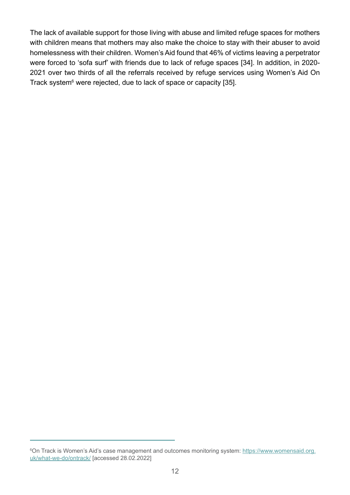The lack of available support for those living with abuse and limited refuge spaces for mothers with children means that mothers may also make the choice to stay with their abuser to avoid homelessness with their children. Women's Aid found that 46% of victims leaving a perpetrator were forced to 'sofa surf' with friends due to lack of refuge spaces [34]. In addition, in 2020- 2021 over two thirds of all the referrals received by refuge services using Women's Aid On Track system<sup>6</sup> were rejected, due to lack of space or capacity [35].

<sup>6</sup> On Track is Women's Aid's case management and outcomes monitoring system: [https://www.womensaid.org.](https://www.womensaid.org.uk/what-we-do/ontrack/) [uk/what-we-do/ontrack/](https://www.womensaid.org.uk/what-we-do/ontrack/) [accessed 28.02.2022]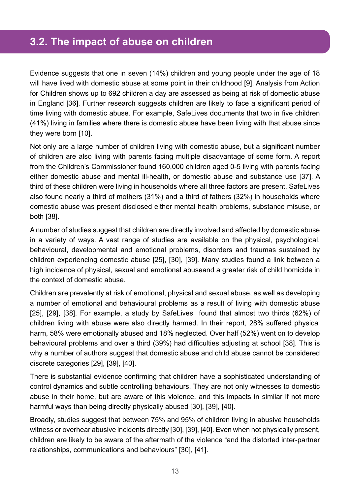#### **3.2. The impact of abuse on children**

Evidence suggests that one in seven (14%) children and young people under the age of 18 will have lived with domestic abuse at some point in their childhood [9]. Analysis from Action for Children shows up to 692 children a day are assessed as being at risk of domestic abuse in England [36]. Further research suggests children are likely to face a significant period of time living with domestic abuse. For example, SafeLives documents that two in five children (41%) living in families where there is domestic abuse have been living with that abuse since they were born [10].

Not only are a large number of children living with domestic abuse, but a significant number of children are also living with parents facing multiple disadvantage of some form. A report from the Children's Commissioner found 160,000 children aged 0-5 living with parents facing either domestic abuse and mental ill-health, or domestic abuse and substance use [37]. A third of these children were living in households where all three factors are present. SafeLives also found nearly a third of mothers (31%) and a third of fathers (32%) in households where domestic abuse was present disclosed either mental health problems, substance misuse, or both [38].

A number of studies suggest that children are directly involved and affected by domestic abuse in a variety of ways. A vast range of studies are available on the physical, psychological, behavioural, developmental and emotional problems, disorders and traumas sustained by children experiencing domestic abuse [25], [30], [39]. Many studies found a link between a high incidence of physical, sexual and emotional abuseand a greater risk of child homicide in the context of domestic abuse.

Children are prevalently at risk of emotional, physical and sexual abuse, as well as developing a number of emotional and behavioural problems as a result of living with domestic abuse [25], [29], [38]. For example, a study by SafeLives found that almost two thirds (62%) of children living with abuse were also directly harmed. In their report, 28% suffered physical harm, 58% were emotionally abused and 18% neglected. Over half (52%) went on to develop behavioural problems and over a third (39%) had difficulties adjusting at school [38]. This is why a number of authors suggest that domestic abuse and child abuse cannot be considered discrete categories [29], [39], [40].

There is substantial evidence confirming that children have a sophisticated understanding of control dynamics and subtle controlling behaviours. They are not only witnesses to domestic abuse in their home, but are aware of this violence, and this impacts in similar if not more harmful ways than being directly physically abused [30], [39], [40].

Broadly, studies suggest that between 75% and 95% of children living in abusive households witness or overhear abusive incidents directly [30], [39], [40]. Even when not physically present, children are likely to be aware of the aftermath of the violence "and the distorted inter-partner relationships, communications and behaviours" [30], [41].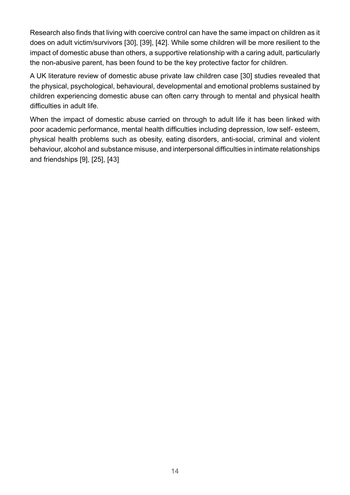Research also finds that living with coercive control can have the same impact on children as it does on adult victim/survivors [30], [39], [42]. While some children will be more resilient to the impact of domestic abuse than others, a supportive relationship with a caring adult, particularly the non-abusive parent, has been found to be the key protective factor for children.

A UK literature review of domestic abuse private law children case [30] studies revealed that the physical, psychological, behavioural, developmental and emotional problems sustained by children experiencing domestic abuse can often carry through to mental and physical health difficulties in adult life.

When the impact of domestic abuse carried on through to adult life it has been linked with poor academic performance, mental health difficulties including depression, low self- esteem, physical health problems such as obesity, eating disorders, anti-social, criminal and violent behaviour, alcohol and substance misuse, and interpersonal difficulties in intimate relationships and friendships [9], [25], [43]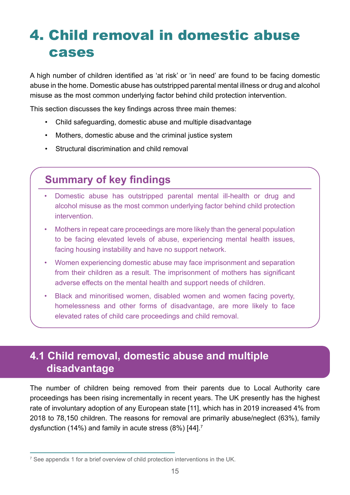# 4. Child removal in domestic abuse cases

A high number of children identified as 'at risk' or 'in need' are found to be facing domestic abuse in the home. Domestic abuse has outstripped parental mental illness or drug and alcohol misuse as the most common underlying factor behind child protection intervention.

This section discusses the key findings across three main themes:

- Child safeguarding, domestic abuse and multiple disadvantage
- Mothers, domestic abuse and the criminal justice system
- Structural discrimination and child removal

### **Summary of key findings**

- Domestic abuse has outstripped parental mental ill-health or drug and alcohol misuse as the most common underlying factor behind child protection intervention.
- Mothers in repeat care proceedings are more likely than the general population to be facing elevated levels of abuse, experiencing mental health issues, facing housing instability and have no support network.
- Women experiencing domestic abuse may face imprisonment and separation from their children as a result. The imprisonment of mothers has significant adverse effects on the mental health and support needs of children.
- Black and minoritised women, disabled women and women facing poverty, homelessness and other forms of disadvantage, are more likely to face elevated rates of child care proceedings and child removal.

### **4.1 Child removal, domestic abuse and multiple disadvantage**

The number of children being removed from their parents due to Local Authority care proceedings has been rising incrementally in recent years. The UK presently has the highest rate of involuntary adoption of any European state [11], which has in 2019 increased 4% from 2018 to 78,150 children. The reasons for removal are primarily abuse/neglect (63%), family dysfunction (14%) and family in acute stress (8%) [44].7

 $^7$  See appendix 1 for a brief overview of child protection interventions in the UK.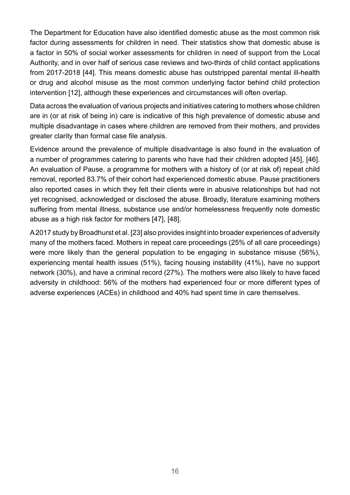The Department for Education have also identified domestic abuse as the most common risk factor during assessments for children in need. Their statistics show that domestic abuse is a factor in 50% of social worker assessments for children in need of support from the Local Authority, and in over half of serious case reviews and two-thirds of child contact applications from 2017-2018 [44]. This means domestic abuse has outstripped parental mental ill-health or drug and alcohol misuse as the most common underlying factor behind child protection intervention [12], although these experiences and circumstances will often overlap.

Data across the evaluation of various projects and initiatives catering to mothers whose children are in (or at risk of being in) care is indicative of this high prevalence of domestic abuse and multiple disadvantage in cases where children are removed from their mothers, and provides greater clarity than formal case file analysis.

Evidence around the prevalence of multiple disadvantage is also found in the evaluation of a number of programmes catering to parents who have had their children adopted [45], [46]. An evaluation of Pause, a programme for mothers with a history of (or at risk of) repeat child removal, reported 83.7% of their cohort had experienced domestic abuse. Pause practitioners also reported cases in which they felt their clients were in abusive relationships but had not yet recognised, acknowledged or disclosed the abuse. Broadly, literature examining mothers suffering from mental illness, substance use and/or homelessness frequently note domestic abuse as a high risk factor for mothers [47], [48].

A 2017 study by Broadhurst et al. [23] also provides insight into broader experiences of adversity many of the mothers faced. Mothers in repeat care proceedings (25% of all care proceedings) were more likely than the general population to be engaging in substance misuse (56%), experiencing mental health issues (51%), facing housing instability (41%), have no support network (30%), and have a criminal record (27%). The mothers were also likely to have faced adversity in childhood: 56% of the mothers had experienced four or more different types of adverse experiences (ACEs) in childhood and 40% had spent time in care themselves.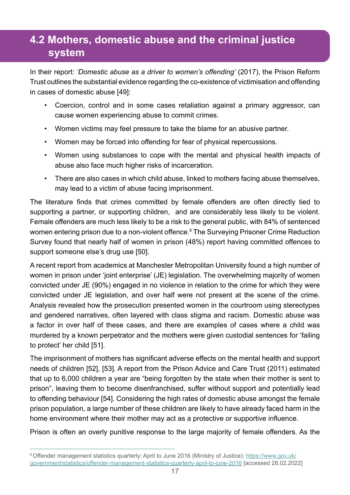### **4.2 Mothers, domestic abuse and the criminal justice system**

In their report: *'Domestic abuse as a driver to women's offending'* (2017), the Prison Reform Trust outlines the substantial evidence regarding the co-existence of victimisation and offending in cases of domestic abuse [49]:

- Coercion, control and in some cases retaliation against a primary aggressor, can cause women experiencing abuse to commit crimes.
- Women victims may feel pressure to take the blame for an abusive partner.
- Women may be forced into offending for fear of physical repercussions.
- Women using substances to cope with the mental and physical health impacts of abuse also face much higher risks of incarceration.
- There are also cases in which child abuse, linked to mothers facing abuse themselves, may lead to a victim of abuse facing imprisonment.

The literature finds that crimes committed by female offenders are often directly tied to supporting a partner, or supporting children, and are considerably less likely to be violent. Female offenders are much less likely to be a risk to the general public, with 84% of sentenced women entering prison due to a non-violent offence.<sup>8</sup> The Surveying Prisoner Crime Reduction Survey found that nearly half of women in prison (48%) report having committed offences to support someone else's drug use [50].

A recent report from academics at Manchester Metropolitan University found a high number of women in prison under 'joint enterprise' (JE) legislation. The overwhelming majority of women convicted under JE (90%) engaged in no violence in relation to the crime for which they were convicted under JE legislation, and over half were not present at the scene of the crime. Analysis revealed how the prosecution presented women in the courtroom using stereotypes and gendered narratives, often layered with class stigma and racism. Domestic abuse was a factor in over half of these cases, and there are examples of cases where a child was murdered by a known perpetrator and the mothers were given custodial sentences for 'failing to protect' her child [51].

The imprisonment of mothers has significant adverse effects on the mental health and support needs of children [52], [53]. A report from the Prison Advice and Care Trust (2011) estimated that up to 6,000 children a year are "being forgotten by the state when their mother is sent to prison", leaving them to become disenfranchised, suffer without support and potentially lead to offending behaviour [54]. Considering the high rates of domestic abuse amongst the female prison population, a large number of these children are likely to have already faced harm in the home environment where their mother may act as a protective or supportive influence.

Prison is often an overly punitive response to the large majority of female offenders. As the

<sup>&</sup>lt;sup>8</sup> Offender management statistics quarterly: April to June 2016 (Ministry of Justice): [https://www.gov.uk/](https://www.gov.uk/government/statistics/offender-management-statistics-quarterly-april-to-june-2016) [government/statistics/offender-management-statistics-quarterly-april-to-june-2016](https://www.gov.uk/government/statistics/offender-management-statistics-quarterly-april-to-june-2016) [accessed 28.02.2022]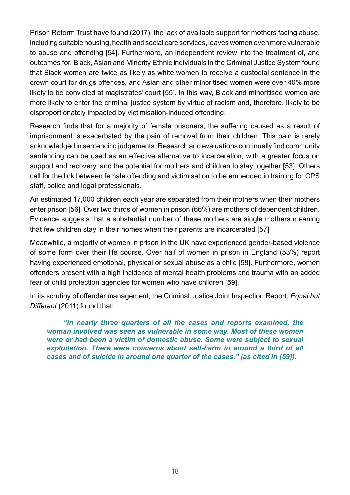Prison Reform Trust have found (2017), the lack of available support for mothers facing abuse, including suitable housing, health and social care services, leaves women even more vulnerable to abuse and offending [54]. Furthermore, an independent review into the treatment of, and outcomes for, Black, Asian and Minority Ethnic individuals in the Criminal Justice System found that Black women are twice as likely as white women to receive a custodial sentence in the crown court for drugs offences, and Asian and other minoritised women were over 40% more likely to be convicted at magistrates' court [55]. In this way, Black and minoritised women are more likely to enter the criminal justice system by virtue of racism and, therefore, likely to be disproportionately impacted by victimisation-induced offending.

Research finds that for a majority of female prisoners, the suffering caused as a result of imprisonment is exacerbated by the pain of removal from their children. This pain is rarely acknowledged in sentencing judgements. Research and evaluations continually find community sentencing can be used as an effective alternative to incarceration, with a greater focus on support and recovery, and the potential for mothers and children to stay together [53]. Others call for the link between female offending and victimisation to be embedded in training for CPS staff, police and legal professionals.

An estimated 17,000 children each year are separated from their mothers when their mothers enter prison [56]. Over two thirds of women in prison (66%) are mothers of dependent children. Evidence suggests that a substantial number of these mothers are single mothers meaning that few children stay in their homes when their parents are incarcerated [57].

Meanwhile, a majority of women in prison in the UK have experienced gender-based violence of some form over their life course. Over half of women in prison in England (53%) report having experienced emotional, physical or sexual abuse as a child [58]. Furthermore, women offenders present with a high incidence of mental health problems and trauma with an added fear of child protection agencies for women who have children [59].

In its scrutiny of offender management, the Criminal Justice Joint Inspection Report, *Equal but Different* (2011) found that:

*"In nearly three quarters of all the cases and reports examined, the woman involved was seen as vulnerable in some way. Most of these women were or had been a victim of domestic abuse. Some were subject to sexual exploitation. There were concerns about self-harm in around a third of all cases and of suicide in around one quarter of the cases." (as cited in [59]).*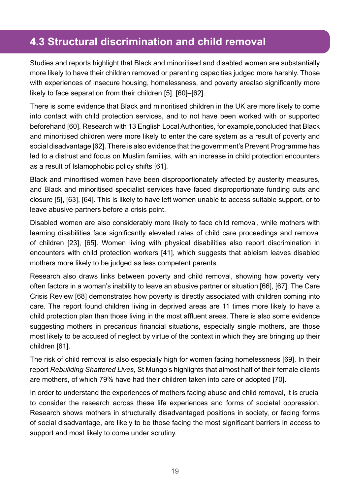### **4.3 Structural discrimination and child removal**

Studies and reports highlight that Black and minoritised and disabled women are substantially more likely to have their children removed or parenting capacities judged more harshly. Those with experiences of insecure housing, homelessness, and poverty arealso significantly more likely to face separation from their children [5], [60]–[62].

There is some evidence that Black and minoritised children in the UK are more likely to come into contact with child protection services, and to not have been worked with or supported beforehand [60]. Research with 13 English Local Authorities, for example,concluded that Black and minoritised children were more likely to enter the care system as a result of poverty and social disadvantage [62]. There is also evidence that the government's Prevent Programme has led to a distrust and focus on Muslim families, with an increase in child protection encounters as a result of Islamophobic policy shifts [61].

Black and minoritised women have been disproportionately affected by austerity measures, and Black and minoritised specialist services have faced disproportionate funding cuts and closure [5], [63], [64]. This is likely to have left women unable to access suitable support, or to leave abusive partners before a crisis point.

Disabled women are also considerably more likely to face child removal, while mothers with learning disabilities face significantly elevated rates of child care proceedings and removal of children [23], [65]. Women living with physical disabilities also report discrimination in encounters with child protection workers [41], which suggests that ableism leaves disabled mothers more likely to be judged as less competent parents.

Research also draws links between poverty and child removal, showing how poverty very often factors in a woman's inability to leave an abusive partner or situation [66], [67]. The Care Crisis Review [68] demonstrates how poverty is directly associated with children coming into care. The report found children living in deprived areas are 11 times more likely to have a child protection plan than those living in the most affluent areas. There is also some evidence suggesting mothers in precarious financial situations, especially single mothers, are those most likely to be accused of neglect by virtue of the context in which they are bringing up their children [61].

The risk of child removal is also especially high for women facing homelessness [69]. In their report *Rebuilding Shattered Lives,* St Mungo's highlights that almost half of their female clients are mothers, of which 79% have had their children taken into care or adopted [70].

In order to understand the experiences of mothers facing abuse and child removal, it is crucial to consider the research across these life experiences and forms of societal oppression. Research shows mothers in structurally disadvantaged positions in society, or facing forms of social disadvantage, are likely to be those facing the most significant barriers in access to support and most likely to come under scrutiny.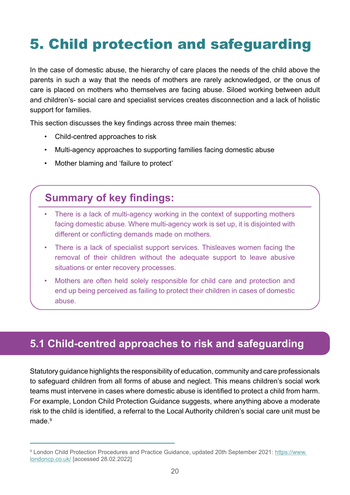# 5. Child protection and safeguarding

In the case of domestic abuse, the hierarchy of care places the needs of the child above the parents in such a way that the needs of mothers are rarely acknowledged, or the onus of care is placed on mothers who themselves are facing abuse. Siloed working between adult and children's- social care and specialist services creates disconnection and a lack of holistic support for families.

This section discusses the key findings across three main themes:

- Child-centred approaches to risk
- Multi-agency approaches to supporting families facing domestic abuse
- Mother blaming and 'failure to protect'

### **Summary of key findings:**

- There is a lack of multi-agency working in the context of supporting mothers facing domestic abuse. Where multi-agency work is set up, it is disjointed with different or conflicting demands made on mothers.
- There is a lack of specialist support services. Thisleaves women facing the removal of their children without the adequate support to leave abusive situations or enter recovery processes.
- Mothers are often held solely responsible for child care and protection and end up being perceived as failing to protect their children in cases of domestic abuse.

### **5.1 Child-centred approaches to risk and safeguarding**

Statutory guidance highlights the responsibility of education, community and care professionals to safeguard children from all forms of abuse and neglect. This means children's social work teams must intervene in cases where domestic abuse is identified to protect a child from harm. For example, London Child Protection Guidance suggests, where anything above a moderate risk to the child is identified, a referral to the Local Authority children's social care unit must be made $9$ 

<sup>&</sup>lt;sup>9</sup> London Child Protection Procedures and Practice Guidance, updated 20th September 2021: [https://www.](https://www.londoncp.co.uk/) [londoncp.co.uk/](https://www.londoncp.co.uk/) [accessed 28.02.2022]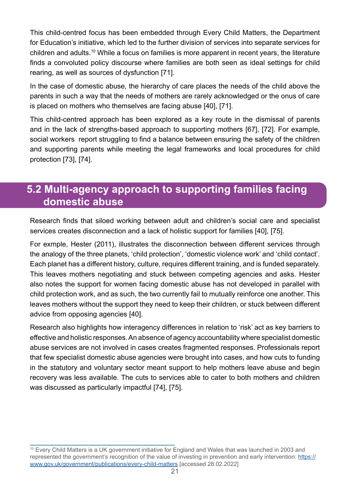This child-centred focus has been embedded through Every Child Matters, the Department for Education's initiative, which led to the further division of services into separate services for children and adults.10 While a focus on families is more apparent in recent years, the literature finds a convoluted policy discourse where families are both seen as ideal settings for child rearing, as well as sources of dysfunction [71].

In the case of domestic abuse, the hierarchy of care places the needs of the child above the parents in such a way that the needs of mothers are rarely acknowledged or the onus of care is placed on mothers who themselves are facing abuse [40], [71].

This child-centred approach has been explored as a key route in the dismissal of parents and in the lack of strengths-based approach to supporting mothers [67], [72]. For example, social workers report struggling to find a balance between ensuring the safety of the children and supporting parents while meeting the legal frameworks and local procedures for child protection [73], [74].

#### **5.2 Multi-agency approach to supporting families facing domestic abuse**

Research finds that siloed working between adult and children's social care and specialist services creates disconnection and a lack of holistic support for families [40], [75].

For exmple, Hester (2011), illustrates the disconnection between different services through the analogy of the three planets, 'child protection', 'domestic violence work' and 'child contact'. Each planet has a different history, culture, requires different training, and is funded separately. This leaves mothers negotiating and stuck between competing agencies and asks. Hester also notes the support for women facing domestic abuse has not developed in parallel with child protection work, and as such, the two currently fail to mutually reinforce one another. This leaves mothers without the support they need to keep their children, or stuck between different advice from opposing agencies [40].

Research also highlights how interagency differences in relation to 'risk' act as key barriers to effective and holistic responses. An absence of agency accountability where specialist domestic abuse services are not involved in cases creates fragmented responses. Professionals report that few specialist domestic abuse agencies were brought into cases, and how cuts to funding in the statutory and voluntary sector meant support to help mothers leave abuse and begin recovery was less available. The cuts to services able to cater to both mothers and children was discussed as particularly impactful [74], [75].

<sup>&</sup>lt;sup>10</sup> Every Child Matters is a UK government initiative for England and Wales that was launched in 2003 and represented the government's recognition of the value of investing in prevention and early intervention: [https://](https://www.gov.uk/government/publications/every-child-matters) [www.gov.uk/government/publications/every-child-matters](https://www.gov.uk/government/publications/every-child-matters) [accessed 28.02.2022]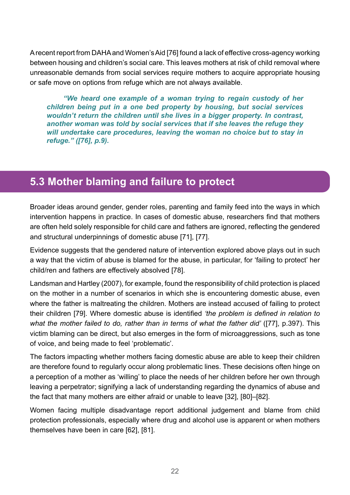A recent report from DAHA and Women's Aid [76] found a lack of effective cross-agency working between housing and children's social care. This leaves mothers at risk of child removal where unreasonable demands from social services require mothers to acquire appropriate housing or safe move on options from refuge which are not always available.

*"We heard one example of a woman trying to regain custody of her children being put in a one bed property by housing, but social services wouldn't return the children until she lives in a bigger property. In contrast, another woman was told by social services that if she leaves the refuge they will undertake care procedures, leaving the woman no choice but to stay in refuge." ([76], p.9).*

#### **5.3 Mother blaming and failure to protect**

Broader ideas around gender, gender roles, parenting and family feed into the ways in which intervention happens in practice. In cases of domestic abuse, researchers find that mothers are often held solely responsible for child care and fathers are ignored, reflecting the gendered and structural underpinnings of domestic abuse [71], [77].

Evidence suggests that the gendered nature of intervention explored above plays out in such a way that the victim of abuse is blamed for the abuse, in particular, for 'failing to protect' her child/ren and fathers are effectively absolved [78].

Landsman and Hartley (2007), for example, found the responsibility of child protection is placed on the mother in a number of scenarios in which she is encountering domestic abuse, even where the father is maltreating the children. Mothers are instead accused of failing to protect their children [79]. Where domestic abuse is identified *'the problem is defined in relation to what the mother failed to do, rather than in terms of what the father did'* ([77], p.397). This victim blaming can be direct, but also emerges in the form of microaggressions, such as tone of voice, and being made to feel 'problematic'.

The factors impacting whether mothers facing domestic abuse are able to keep their children are therefore found to regularly occur along problematic lines. These decisions often hinge on a perception of a mother as 'willing' to place the needs of her children before her own through leaving a perpetrator; signifying a lack of understanding regarding the dynamics of abuse and the fact that many mothers are either afraid or unable to leave [32], [80]–[82].

Women facing multiple disadvantage report additional judgement and blame from child protection professionals, especially where drug and alcohol use is apparent or when mothers themselves have been in care [62], [81].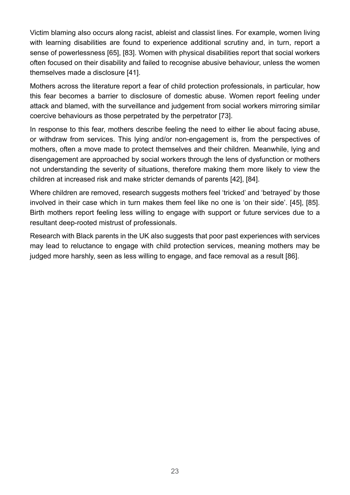Victim blaming also occurs along racist, ableist and classist lines. For example, women living with learning disabilities are found to experience additional scrutiny and, in turn, report a sense of powerlessness [65], [83]. Women with physical disabilities report that social workers often focused on their disability and failed to recognise abusive behaviour, unless the women themselves made a disclosure [41].

Mothers across the literature report a fear of child protection professionals, in particular, how this fear becomes a barrier to disclosure of domestic abuse. Women report feeling under attack and blamed, with the surveillance and judgement from social workers mirroring similar coercive behaviours as those perpetrated by the perpetrator [73].

In response to this fear, mothers describe feeling the need to either lie about facing abuse, or withdraw from services. This lying and/or non-engagement is, from the perspectives of mothers, often a move made to protect themselves and their children. Meanwhile, lying and disengagement are approached by social workers through the lens of dysfunction or mothers not understanding the severity of situations, therefore making them more likely to view the children at increased risk and make stricter demands of parents [42], [84].

Where children are removed, research suggests mothers feel 'tricked' and 'betrayed' by those involved in their case which in turn makes them feel like no one is 'on their side'. [45], [85]. Birth mothers report feeling less willing to engage with support or future services due to a resultant deep-rooted mistrust of professionals.

Research with Black parents in the UK also suggests that poor past experiences with services may lead to reluctance to engage with child protection services, meaning mothers may be judged more harshly, seen as less willing to engage, and face removal as a result [86].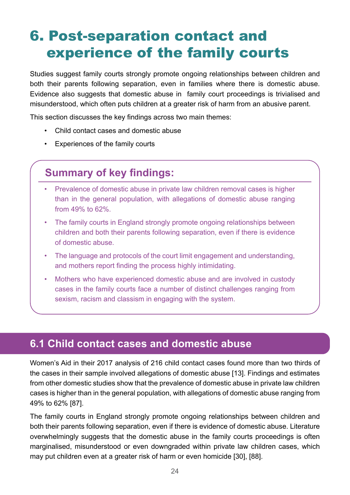# 6. Post-separation contact and experience of the family courts

Studies suggest family courts strongly promote ongoing relationships between children and both their parents following separation, even in families where there is domestic abuse. Evidence also suggests that domestic abuse in family court proceedings is trivialised and misunderstood, which often puts children at a greater risk of harm from an abusive parent.

This section discusses the key findings across two main themes:

- Child contact cases and domestic abuse
- Experiences of the family courts

### **Summary of key findings:**

- Prevalence of domestic abuse in private law children removal cases is higher than in the general population, with allegations of domestic abuse ranging from 49% to 62%.
- The family courts in England strongly promote ongoing relationships between children and both their parents following separation, even if there is evidence of domestic abuse.
- The language and protocols of the court limit engagement and understanding, and mothers report finding the process highly intimidating.
- Mothers who have experienced domestic abuse and are involved in custody cases in the family courts face a number of distinct challenges ranging from sexism, racism and classism in engaging with the system.

### **6.1 Child contact cases and domestic abuse**

Women's Aid in their 2017 analysis of 216 child contact cases found more than two thirds of the cases in their sample involved allegations of domestic abuse [13]. Findings and estimates from other domestic studies show that the prevalence of domestic abuse in private law children cases is higher than in the general population, with allegations of domestic abuse ranging from 49% to 62% [87].

The family courts in England strongly promote ongoing relationships between children and both their parents following separation, even if there is evidence of domestic abuse. Literature overwhelmingly suggests that the domestic abuse in the family courts proceedings is often marginalised, misunderstood or even downgraded within private law children cases, which may put children even at a greater risk of harm or even homicide [30], [88].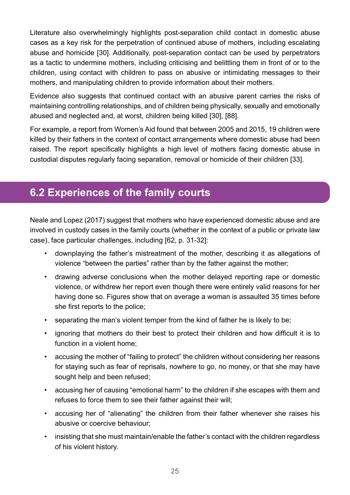Literature also overwhelmingly highlights post-separation child contact in domestic abuse cases as a key risk for the perpetration of continued abuse of mothers, including escalating abuse and homicide [30]. Additionally, post-separation contact can be used by perpetrators as a tactic to undermine mothers, including criticising and belittling them in front of or to the children, using contact with children to pass on abusive or intimidating messages to their mothers, and manipulating children to provide information about their mothers.

Evidence also suggests that continued contact with an abusive parent carries the risks of maintaining controlling relationships, and of children being physically, sexually and emotionally abused and neglected and, at worst, children being killed [30], [88].

For example, a report from Women's Aid found that between 2005 and 2015, 19 children were killed by their fathers in the context of contact arrangements where domestic abuse had been raised. The report specifically highlights a high level of mothers facing domestic abuse in custodial disputes regularly facing separation, removal or homicide of their children [33].

### **6.2 Experiences of the family courts**

Neale and Lopez (2017) suggest that mothers who have experienced domestic abuse and are involved in custody cases in the family courts (whether in the context of a public or private law case), face particular challenges, including [62, p. 31-32]:

- downplaying the father's mistreatment of the mother, describing it as allegations of violence "between the parties" rather than by the father against the mother;
- drawing adverse conclusions when the mother delayed reporting rape or domestic violence, or withdrew her report even though there were entirely valid reasons for her having done so. Figures show that on average a woman is assaulted 35 times before she first reports to the police;
- separating the man's violent temper from the kind of father he is likely to be;
- ignoring that mothers do their best to protect their children and how difficult it is to function in a violent home;
- accusing the mother of "failing to protect" the children without considering her reasons for staying such as fear of reprisals, nowhere to go, no money, or that she may have sought help and been refused;
- accusing her of causing "emotional harm" to the children if she escapes with them and refuses to force them to see their father against their will;
- accusing her of "alienating" the children from their father whenever she raises his abusive or coercive behaviour;
- insisting that she must maintain/enable the father's contact with the children regardless of his violent history.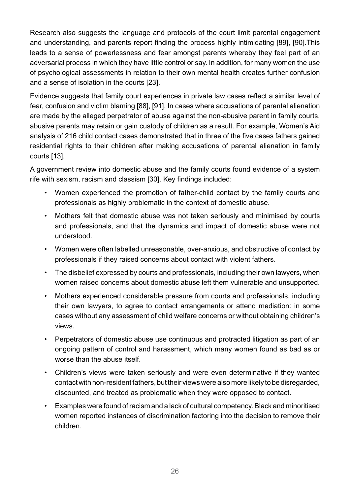Research also suggests the language and protocols of the court limit parental engagement and understanding, and parents report finding the process highly intimidating [89], [90].This leads to a sense of powerlessness and fear amongst parents whereby they feel part of an adversarial process in which they have little control or say. In addition, for many women the use of psychological assessments in relation to their own mental health creates further confusion and a sense of isolation in the courts [23].

Evidence suggests that family court experiences in private law cases reflect a similar level of fear, confusion and victim blaming [88], [91]. In cases where accusations of parental alienation are made by the alleged perpetrator of abuse against the non-abusive parent in family courts, abusive parents may retain or gain custody of children as a result. For example, Women's Aid analysis of 216 child contact cases demonstrated that in three of the five cases fathers gained residential rights to their children after making accusations of parental alienation in family courts [13].

A government review into domestic abuse and the family courts found evidence of a system rife with sexism, racism and classism [30]. Key findings included:

- Women experienced the promotion of father-child contact by the family courts and professionals as highly problematic in the context of domestic abuse.
- Mothers felt that domestic abuse was not taken seriously and minimised by courts and professionals, and that the dynamics and impact of domestic abuse were not understood.
- Women were often labelled unreasonable, over-anxious, and obstructive of contact by professionals if they raised concerns about contact with violent fathers.
- The disbelief expressed by courts and professionals, including their own lawyers, when women raised concerns about domestic abuse left them vulnerable and unsupported.
- Mothers experienced considerable pressure from courts and professionals, including their own lawyers, to agree to contact arrangements or attend mediation: in some cases without any assessment of child welfare concerns or without obtaining children's views.
- Perpetrators of domestic abuse use continuous and protracted litigation as part of an ongoing pattern of control and harassment, which many women found as bad as or worse than the abuse itself.
- Children's views were taken seriously and were even determinative if they wanted contact with non-resident fathers, but their views were also more likely to be disregarded, discounted, and treated as problematic when they were opposed to contact.
- Examples were found of racism and a lack of cultural competency. Black and minoritised women reported instances of discrimination factoring into the decision to remove their children.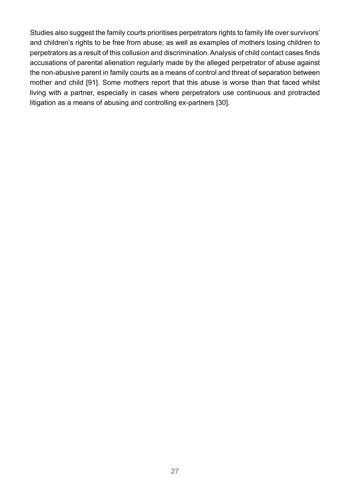Studies also suggest the family courts prioritises perpetrators rights to family life over survivors' and children's rights to be free from abuse; as well as examples of mothers losing children to perpetrators as a result of this collusion and discrimination. Analysis of child contact cases finds accusations of parental alienation regularly made by the alleged perpetrator of abuse against the non-abusive parent in family courts as a means of control and threat of separation between mother and child [91]. Some mothers report that this abuse is worse than that faced whilst living with a partner, especially in cases where perpetrators use continuous and protracted litigation as a means of abusing and controlling ex-partners [30].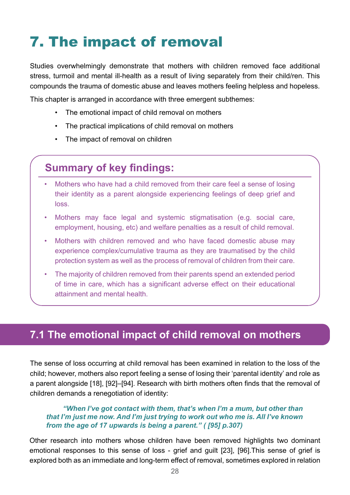# 7. The impact of removal

Studies overwhelmingly demonstrate that mothers with children removed face additional stress, turmoil and mental ill-health as a result of living separately from their child/ren. This compounds the trauma of domestic abuse and leaves mothers feeling helpless and hopeless.

This chapter is arranged in accordance with three emergent subthemes:

- The emotional impact of child removal on mothers
- The practical implications of child removal on mothers
- The impact of removal on children

### **Summary of key findings:**

- Mothers who have had a child removed from their care feel a sense of losing their identity as a parent alongside experiencing feelings of deep grief and loss.
- Mothers may face legal and systemic stigmatisation (e.g. social care, employment, housing, etc) and welfare penalties as a result of child removal.
- Mothers with children removed and who have faced domestic abuse may experience complex/cumulative trauma as they are traumatised by the child protection system as well as the process of removal of children from their care.
- The majority of children removed from their parents spend an extended period of time in care, which has a significant adverse effect on their educational attainment and mental health.

#### **7.1 The emotional impact of child removal on mothers**

The sense of loss occurring at child removal has been examined in relation to the loss of the child; however, mothers also report feeling a sense of losing their 'parental identity' and role as a parent alongside [18], [92]–[94]. Research with birth mothers often finds that the removal of children demands a renegotiation of identity:

#### *"When I've got contact with them, that's when I'm a mum, but other than that I'm just me now. And I'm just trying to work out who me is. All I've known from the age of 17 upwards is being a parent." ( [95] p.307)*

Other research into mothers whose children have been removed highlights two dominant emotional responses to this sense of loss - grief and guilt [23], [96].This sense of grief is explored both as an immediate and long-term effect of removal, sometimes explored in relation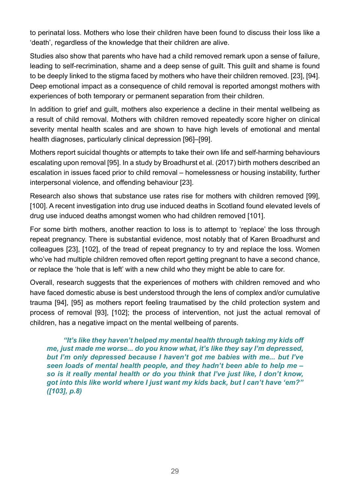to perinatal loss. Mothers who lose their children have been found to discuss their loss like a 'death', regardless of the knowledge that their children are alive.

Studies also show that parents who have had a child removed remark upon a sense of failure, leading to self-recrimination, shame and a deep sense of guilt. This guilt and shame is found to be deeply linked to the stigma faced by mothers who have their children removed. [23], [94]. Deep emotional impact as a consequence of child removal is reported amongst mothers with experiences of both temporary or permanent separation from their children.

In addition to grief and guilt, mothers also experience a decline in their mental wellbeing as a result of child removal. Mothers with children removed repeatedly score higher on clinical severity mental health scales and are shown to have high levels of emotional and mental health diagnoses, particularly clinical depression [96]–[99].

Mothers report suicidal thoughts or attempts to take their own life and self-harming behaviours escalating upon removal [95]. In a study by Broadhurst et al. (2017) birth mothers described an escalation in issues faced prior to child removal – homelessness or housing instability, further interpersonal violence, and offending behaviour [23].

Research also shows that substance use rates rise for mothers with children removed [99], [100]. A recent investigation into drug use induced deaths in Scotland found elevated levels of drug use induced deaths amongst women who had children removed [101].

For some birth mothers, another reaction to loss is to attempt to 'replace' the loss through repeat pregnancy. There is substantial evidence, most notably that of Karen Broadhurst and colleagues [23], [102], of the tread of repeat pregnancy to try and replace the loss. Women who've had multiple children removed often report getting pregnant to have a second chance, or replace the 'hole that is left' with a new child who they might be able to care for.

Overall, research suggests that the experiences of mothers with children removed and who have faced domestic abuse is best understood through the lens of complex and/or cumulative trauma [94], [95] as mothers report feeling traumatised by the child protection system and process of removal [93], [102]; the process of intervention, not just the actual removal of children, has a negative impact on the mental wellbeing of parents.

*"It's like they haven't helped my mental health through taking my kids off me, just made me worse... do you know what, it's like they say I'm depressed, but I'm only depressed because I haven't got me babies with me... but I've seen loads of mental health people, and they hadn't been able to help me – so is it really mental health or do you think that I've just like, I don't know, got into this like world where I just want my kids back, but I can't have 'em?" ([103], p.8)*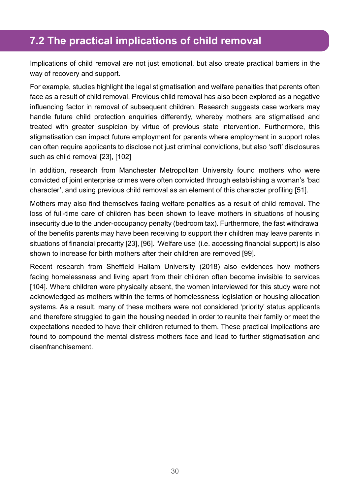### **7.2 The practical implications of child removal**

Implications of child removal are not just emotional, but also create practical barriers in the way of recovery and support.

For example, studies highlight the legal stigmatisation and welfare penalties that parents often face as a result of child removal. Previous child removal has also been explored as a negative influencing factor in removal of subsequent children. Research suggests case workers may handle future child protection enquiries differently, whereby mothers are stigmatised and treated with greater suspicion by virtue of previous state intervention. Furthermore, this stigmatisation can impact future employment for parents where employment in support roles can often require applicants to disclose not just criminal convictions, but also 'soft' disclosures such as child removal [23], [102]

In addition, research from Manchester Metropolitan University found mothers who were convicted of joint enterprise crimes were often convicted through establishing a woman's 'bad character', and using previous child removal as an element of this character profiling [51].

Mothers may also find themselves facing welfare penalties as a result of child removal. The loss of full-time care of children has been shown to leave mothers in situations of housing insecurity due to the under-occupancy penalty (bedroom tax). Furthermore, the fast withdrawal of the benefits parents may have been receiving to support their children may leave parents in situations of financial precarity [23], [96]. 'Welfare use' (i.e. accessing financial support) is also shown to increase for birth mothers after their children are removed [99].

Recent research from Sheffield Hallam University (2018) also evidences how mothers facing homelessness and living apart from their children often become invisible to services [104]. Where children were physically absent, the women interviewed for this study were not acknowledged as mothers within the terms of homelessness legislation or housing allocation systems. As a result, many of these mothers were not considered 'priority' status applicants and therefore struggled to gain the housing needed in order to reunite their family or meet the expectations needed to have their children returned to them. These practical implications are found to compound the mental distress mothers face and lead to further stigmatisation and disenfranchisement.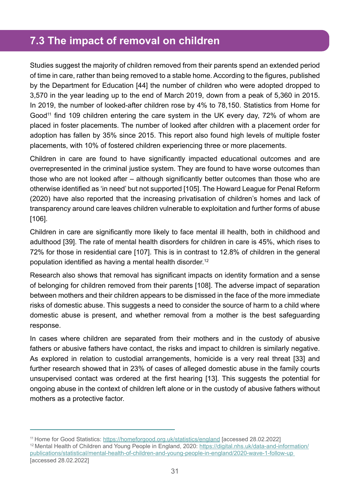### **7.3 The impact of removal on children**

Studies suggest the majority of children removed from their parents spend an extended period of time in care, rather than being removed to a stable home. According to the figures, published by the Department for Education [44] the number of children who were adopted dropped to 3,570 in the year leading up to the end of March 2019, down from a peak of 5,360 in 2015. In 2019, the number of looked-after children rose by 4% to 78,150. Statistics from Home for Good<sup>11</sup> find 109 children entering the care system in the UK every day, 72% of whom are placed in foster placements. The number of looked after children with a placement order for adoption has fallen by 35% since 2015. This report also found high levels of multiple foster placements, with 10% of fostered children experiencing three or more placements.

Children in care are found to have significantly impacted educational outcomes and are overrepresented in the criminal justice system. They are found to have worse outcomes than those who are not looked after – although significantly better outcomes than those who are otherwise identified as 'in need' but not supported [105]. The Howard League for Penal Reform (2020) have also reported that the increasing privatisation of children's homes and lack of transparency around care leaves children vulnerable to exploitation and further forms of abuse [106].

Children in care are significantly more likely to face mental ill health, both in childhood and adulthood [39]. The rate of mental health disorders for children in care is 45%, which rises to 72% for those in residential care [107]. This is in contrast to 12.8% of children in the general population identified as having a mental health disorder.<sup>12</sup>

Research also shows that removal has significant impacts on identity formation and a sense of belonging for children removed from their parents [108]. The adverse impact of separation between mothers and their children appears to be dismissed in the face of the more immediate risks of domestic abuse. This suggests a need to consider the source of harm to a child where domestic abuse is present, and whether removal from a mother is the best safeguarding response.

In cases where children are separated from their mothers and in the custody of abusive fathers or abusive fathers have contact, the risks and impact to children is similarly negative. As explored in relation to custodial arrangements, homicide is a very real threat [33] and further research showed that in 23% of cases of alleged domestic abuse in the family courts unsupervised contact was ordered at the first hearing [13]. This suggests the potential for ongoing abuse in the context of children left alone or in the custody of abusive fathers without mothers as a protective factor.

<sup>11</sup> Home for Good Statistics:<https://homeforgood.org.uk/statistics/england> [accessed 28.02.2022]

<sup>12</sup> Mental Health of Children and Young People in England, 2020: [https://digital.nhs.uk/data-and-information/](https://digital.nhs.uk/data-and-information/publications/statistical/mental-health-of-children-and-young-people-in-england/2020-wave-1-follow-up) [publications/statistical/mental-health-of-children-and-young-people-in-england/2020-wave-1-follow-up](https://digital.nhs.uk/data-and-information/publications/statistical/mental-health-of-children-and-young-people-in-england/2020-wave-1-follow-up)  [accessed 28.02.2022]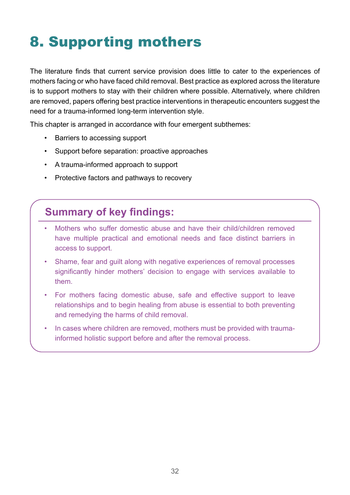# 8. Supporting mothers

The literature finds that current service provision does little to cater to the experiences of mothers facing or who have faced child removal. Best practice as explored across the literature is to support mothers to stay with their children where possible. Alternatively, where children are removed, papers offering best practice interventions in therapeutic encounters suggest the need for a trauma-informed long-term intervention style.

This chapter is arranged in accordance with four emergent subthemes:

- Barriers to accessing support
- Support before separation: proactive approaches
- A trauma-informed approach to support
- Protective factors and pathways to recovery

### **Summary of key findings:**

- Mothers who suffer domestic abuse and have their child/children removed have multiple practical and emotional needs and face distinct barriers in access to support.
- Shame, fear and guilt along with negative experiences of removal processes significantly hinder mothers' decision to engage with services available to them.
- For mothers facing domestic abuse, safe and effective support to leave relationships and to begin healing from abuse is essential to both preventing and remedying the harms of child removal.
- In cases where children are removed, mothers must be provided with traumainformed holistic support before and after the removal process.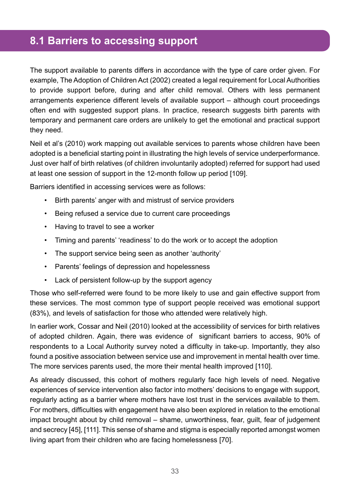### **8.1 Barriers to accessing support**

The support available to parents differs in accordance with the type of care order given. For example, The Adoption of Children Act (2002) created a legal requirement for Local Authorities to provide support before, during and after child removal. Others with less permanent arrangements experience different levels of available support – although court proceedings often end with suggested support plans. In practice, research suggests birth parents with temporary and permanent care orders are unlikely to get the emotional and practical support they need.

Neil et al's (2010) work mapping out available services to parents whose children have been adopted is a beneficial starting point in illustrating the high levels of service underperformance. Just over half of birth relatives (of children involuntarily adopted) referred for support had used at least one session of support in the 12-month follow up period [109].

Barriers identified in accessing services were as follows:

- Birth parents' anger with and mistrust of service providers
- Being refused a service due to current care proceedings
- Having to travel to see a worker
- Timing and parents' 'readiness' to do the work or to accept the adoption
- The support service being seen as another 'authority'
- Parents' feelings of depression and hopelessness
- Lack of persistent follow-up by the support agency

Those who self-referred were found to be more likely to use and gain effective support from these services. The most common type of support people received was emotional support (83%), and levels of satisfaction for those who attended were relatively high.

In earlier work, Cossar and Neil (2010) looked at the accessibility of services for birth relatives of adopted children. Again, there was evidence of significant barriers to access, 90% of respondents to a Local Authority survey noted a difficulty in take-up. Importantly, they also found a positive association between service use and improvement in mental health over time. The more services parents used, the more their mental health improved [110].

As already discussed, this cohort of mothers regularly face high levels of need. Negative experiences of service intervention also factor into mothers' decisions to engage with support, regularly acting as a barrier where mothers have lost trust in the services available to them. For mothers, difficulties with engagement have also been explored in relation to the emotional impact brought about by child removal – shame, unworthiness, fear, guilt, fear of judgement and secrecy [45], [111]. This sense of shame and stigma is especially reported amongst women living apart from their children who are facing homelessness [70].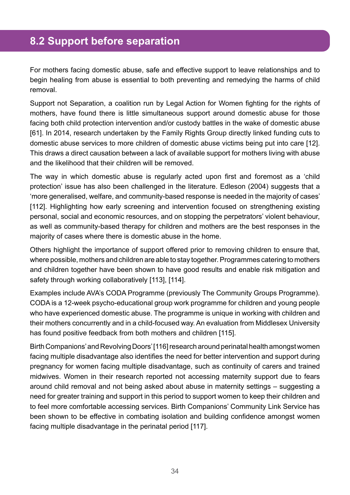#### **8.2 Support before separation**

For mothers facing domestic abuse, safe and effective support to leave relationships and to begin healing from abuse is essential to both preventing and remedying the harms of child removal.

Support not Separation, a coalition run by Legal Action for Women fighting for the rights of mothers, have found there is little simultaneous support around domestic abuse for those facing both child protection intervention and/or custody battles in the wake of domestic abuse [61]. In 2014, research undertaken by the Family Rights Group directly linked funding cuts to domestic abuse services to more children of domestic abuse victims being put into care [12]. This draws a direct causation between a lack of available support for mothers living with abuse and the likelihood that their children will be removed.

The way in which domestic abuse is regularly acted upon first and foremost as a 'child protection' issue has also been challenged in the literature. Edleson (2004) suggests that a 'more generalised, welfare, and community-based response is needed in the majority of cases' [112]. Highlighting how early screening and intervention focused on strengthening existing personal, social and economic resources, and on stopping the perpetrators' violent behaviour, as well as community-based therapy for children and mothers are the best responses in the majority of cases where there is domestic abuse in the home.

Others highlight the importance of support offered prior to removing children to ensure that, where possible, mothers and children are able to stay together. Programmes catering to mothers and children together have been shown to have good results and enable risk mitigation and safety through working collaboratively [113], [114].

Examples include AVA's CODA Programme (previously The Community Groups Programme). CODA is a 12-week psycho-educational group work programme for children and young people who have experienced domestic abuse. The programme is unique in working with children and their mothers concurrently and in a child-focused way. An evaluation from Middlesex University has found positive feedback from both mothers and children [115].

Birth Companions' and Revolving Doors' [116] research around perinatal health amongst women facing multiple disadvantage also identifies the need for better intervention and support during pregnancy for women facing multiple disadvantage, such as continuity of carers and trained midwives. Women in their research reported not accessing maternity support due to fears around child removal and not being asked about abuse in maternity settings – suggesting a need for greater training and support in this period to support women to keep their children and to feel more comfortable accessing services. Birth Companions' Community Link Service has been shown to be effective in combating isolation and building confidence amongst women facing multiple disadvantage in the perinatal period [117].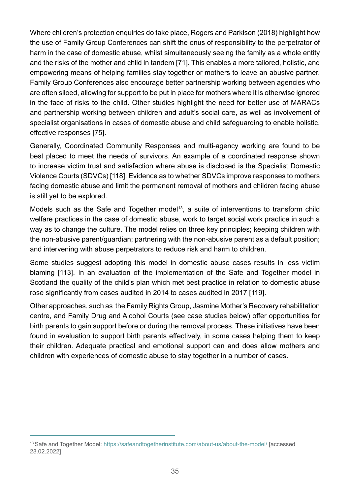Where children's protection enquiries do take place, Rogers and Parkison (2018) highlight how the use of Family Group Conferences can shift the onus of responsibility to the perpetrator of harm in the case of domestic abuse, whilst simultaneously seeing the family as a whole entity and the risks of the mother and child in tandem [71]. This enables a more tailored, holistic, and empowering means of helping families stay together or mothers to leave an abusive partner. Family Group Conferences also encourage better partnership working between agencies who are often siloed, allowing for support to be put in place for mothers where it is otherwise ignored in the face of risks to the child. Other studies highlight the need for better use of MARACs and partnership working between children and adult's social care, as well as involvement of specialist organisations in cases of domestic abuse and child safeguarding to enable holistic, effective responses [75].

Generally, Coordinated Community Responses and multi-agency working are found to be best placed to meet the needs of survivors. An example of a coordinated response shown to increase victim trust and satisfaction where abuse is disclosed is the Specialist Domestic Violence Courts (SDVCs) [118]. Evidence as to whether SDVCs improve responses to mothers facing domestic abuse and limit the permanent removal of mothers and children facing abuse is still yet to be explored.

Models such as the Safe and Together model<sup>13</sup>, a suite of interventions to transform child welfare practices in the case of domestic abuse, work to target social work practice in such a way as to change the culture. The model relies on three key principles; keeping children with the non-abusive parent/guardian; partnering with the non-abusive parent as a default position; and intervening with abuse perpetrators to reduce risk and harm to children.

Some studies suggest adopting this model in domestic abuse cases results in less victim blaming [113]. In an evaluation of the implementation of the Safe and Together model in Scotland the quality of the child's plan which met best practice in relation to domestic abuse rose significantly from cases audited in 2014 to cases audited in 2017 [119].

Other approaches, such as the Family Rights Group, Jasmine Mother's Recovery rehabilitation centre, and Family Drug and Alcohol Courts (see case studies below) offer opportunities for birth parents to gain support before or during the removal process. These initiatives have been found in evaluation to support birth parents effectively, in some cases helping them to keep their children. Adequate practical and emotional support can and does allow mothers and children with experiences of domestic abuse to stay together in a number of cases.

<sup>13</sup> Safe and Together Model:<https://safeandtogetherinstitute.com/about-us/about-the-model/>[accessed 28.02.2022]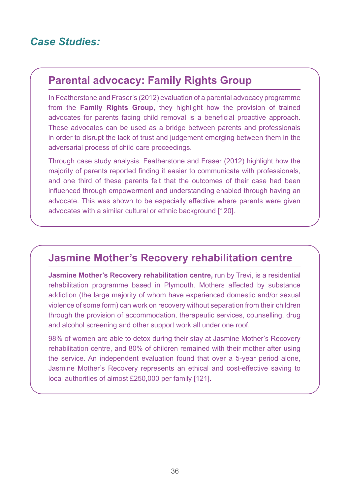### *Case Studies:*

#### **Parental advocacy: Family Rights Group**

In Featherstone and Fraser's (2012) evaluation of a parental advocacy programme from the **Family Rights Group,** they highlight how the provision of trained advocates for parents facing child removal is a beneficial proactive approach. These advocates can be used as a bridge between parents and professionals in order to disrupt the lack of trust and judgement emerging between them in the adversarial process of child care proceedings.

Through case study analysis, Featherstone and Fraser (2012) highlight how the majority of parents reported finding it easier to communicate with professionals, and one third of these parents felt that the outcomes of their case had been influenced through empowerment and understanding enabled through having an advocate. This was shown to be especially effective where parents were given advocates with a similar cultural or ethnic background [120].

#### **Jasmine Mother's Recovery rehabilitation centre**

**Jasmine Mother's Recovery rehabilitation centre,** run by Trevi, is a residential rehabilitation programme based in Plymouth. Mothers affected by substance addiction (the large majority of whom have experienced domestic and/or sexual violence of some form) can work on recovery without separation from their children through the provision of accommodation, therapeutic services, counselling, drug and alcohol screening and other support work all under one roof.

98% of women are able to detox during their stay at Jasmine Mother's Recovery rehabilitation centre, and 80% of children remained with their mother after using the service. An independent evaluation found that over a 5-year period alone, Jasmine Mother's Recovery represents an ethical and cost-effective saving to local authorities of almost £250,000 per family [121].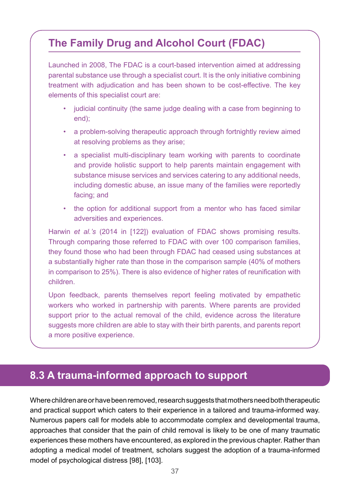### **The Family Drug and Alcohol Court (FDAC)**

Launched in 2008, The FDAC is a court-based intervention aimed at addressing parental substance use through a specialist court. It is the only initiative combining treatment with adjudication and has been shown to be cost-effective. The key elements of this specialist court are:

- judicial continuity (the same judge dealing with a case from beginning to end);
- a problem-solving therapeutic approach through fortnightly review aimed at resolving problems as they arise;
- a specialist multi-disciplinary team working with parents to coordinate and provide holistic support to help parents maintain engagement with substance misuse services and services catering to any additional needs, including domestic abuse, an issue many of the families were reportedly facing; and
- the option for additional support from a mentor who has faced similar adversities and experiences.

Harwin *et al.'s* (2014 in [122]) evaluation of FDAC shows promising results. Through comparing those referred to FDAC with over 100 comparison families, they found those who had been through FDAC had ceased using substances at a substantially higher rate than those in the comparison sample (40% of mothers in comparison to 25%). There is also evidence of higher rates of reunification with children.

Upon feedback, parents themselves report feeling motivated by empathetic workers who worked in partnership with parents. Where parents are provided support prior to the actual removal of the child, evidence across the literature suggests more children are able to stay with their birth parents, and parents report a more positive experience.

#### **8.3 A trauma-informed approach to support**

Where children are or have been removed, research suggests that mothers need both therapeutic and practical support which caters to their experience in a tailored and trauma-informed way. Numerous papers call for models able to accommodate complex and developmental trauma, approaches that consider that the pain of child removal is likely to be one of many traumatic experiences these mothers have encountered, as explored in the previous chapter. Rather than adopting a medical model of treatment, scholars suggest the adoption of a trauma-informed model of psychological distress [98], [103].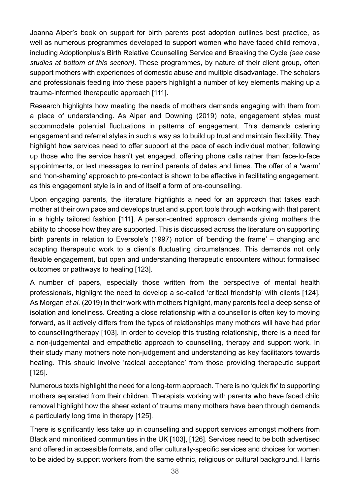Joanna Alper's book on support for birth parents post adoption outlines best practice, as well as numerous programmes developed to support women who have faced child removal, including Adoptionplus's Birth Relative Counselling Service and Breaking the Cycle *(see case studies at bottom of this section)*. These programmes, by nature of their client group, often support mothers with experiences of domestic abuse and multiple disadvantage. The scholars and professionals feeding into these papers highlight a number of key elements making up a trauma-informed therapeutic approach [111].

Research highlights how meeting the needs of mothers demands engaging with them from a place of understanding. As Alper and Downing (2019) note, engagement styles must accommodate potential fluctuations in patterns of engagement. This demands catering engagement and referral styles in such a way as to build up trust and maintain flexibility. They highlight how services need to offer support at the pace of each individual mother, following up those who the service hasn't yet engaged, offering phone calls rather than face-to-face appointments, or text messages to remind parents of dates and times. The offer of a 'warm' and 'non-shaming' approach to pre-contact is shown to be effective in facilitating engagement, as this engagement style is in and of itself a form of pre-counselling.

Upon engaging parents, the literature highlights a need for an approach that takes each mother at their own pace and develops trust and support tools through working with that parent in a highly tailored fashion [111]. A person-centred approach demands giving mothers the ability to choose how they are supported. This is discussed across the literature on supporting birth parents in relation to Eversole's (1997) notion of 'bending the frame' – changing and adapting therapeutic work to a client's fluctuating circumstances. This demands not only flexible engagement, but open and understanding therapeutic encounters without formalised outcomes or pathways to healing [123].

A number of papers, especially those written from the perspective of mental health professionals, highlight the need to develop a so-called 'critical friendship' with clients [124]. As Morgan *et al.* (2019) in their work with mothers highlight, many parents feel a deep sense of isolation and loneliness. Creating a close relationship with a counsellor is often key to moving forward, as it actively differs from the types of relationships many mothers will have had prior to counselling/therapy [103]. In order to develop this trusting relationship, there is a need for a non-judgemental and empathetic approach to counselling, therapy and support work. In their study many mothers note non-judgement and understanding as key facilitators towards healing. This should involve 'radical acceptance' from those providing therapeutic support [125].

Numerous texts highlight the need for a long-term approach. There is no 'quick fix' to supporting mothers separated from their children. Therapists working with parents who have faced child removal highlight how the sheer extent of trauma many mothers have been through demands a particularly long time in therapy [125].

There is significantly less take up in counselling and support services amongst mothers from Black and minoritised communities in the UK [103], [126]. Services need to be both advertised and offered in accessible formats, and offer culturally-specific services and choices for women to be aided by support workers from the same ethnic, religious or cultural background. Harris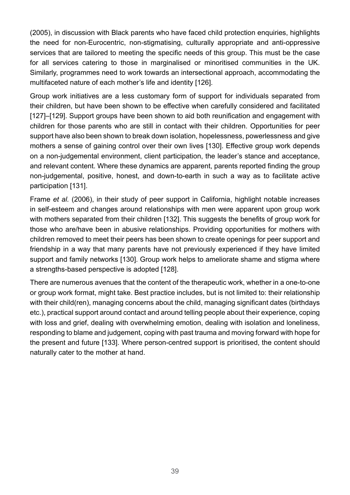(2005), in discussion with Black parents who have faced child protection enquiries, highlights the need for non-Eurocentric, non-stigmatising, culturally appropriate and anti-oppressive services that are tailored to meeting the specific needs of this group. This must be the case for all services catering to those in marginalised or minoritised communities in the UK. Similarly, programmes need to work towards an intersectional approach, accommodating the multifaceted nature of each mother's life and identity [126].

Group work initiatives are a less customary form of support for individuals separated from their children, but have been shown to be effective when carefully considered and facilitated [127]–[129]. Support groups have been shown to aid both reunification and engagement with children for those parents who are still in contact with their children. Opportunities for peer support have also been shown to break down isolation, hopelessness, powerlessness and give mothers a sense of gaining control over their own lives [130]. Effective group work depends on a non-judgemental environment, client participation, the leader's stance and acceptance, and relevant content. Where these dynamics are apparent, parents reported finding the group non-judgemental, positive, honest, and down-to-earth in such a way as to facilitate active participation [131].

Frame *et al.* (2006), in their study of peer support in California, highlight notable increases in self-esteem and changes around relationships with men were apparent upon group work with mothers separated from their children [132]. This suggests the benefits of group work for those who are/have been in abusive relationships. Providing opportunities for mothers with children removed to meet their peers has been shown to create openings for peer support and friendship in a way that many parents have not previously experienced if they have limited support and family networks [130]. Group work helps to ameliorate shame and stigma where a strengths-based perspective is adopted [128].

There are numerous avenues that the content of the therapeutic work, whether in a one-to-one or group work format, might take. Best practice includes, but is not limited to: their relationship with their child(ren), managing concerns about the child, managing significant dates (birthdays etc.), practical support around contact and around telling people about their experience, coping with loss and grief, dealing with overwhelming emotion, dealing with isolation and loneliness, responding to blame and judgement, coping with past trauma and moving forward with hope for the present and future [133]. Where person-centred support is prioritised, the content should naturally cater to the mother at hand.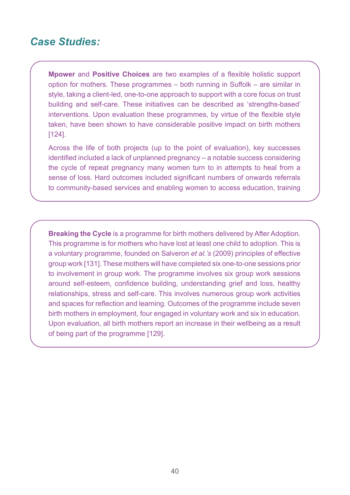#### *Case Studies:*

**Mpower** and **Positive Choices** are two examples of a flexible holistic support option for mothers. These programmes – both running in Suffolk – are similar in style, taking a client-led, one-to-one approach to support with a core focus on trust building and self-care. These initiatives can be described as 'strengths-based' interventions. Upon evaluation these programmes, by virtue of the flexible style taken, have been shown to have considerable positive impact on birth mothers [124].

Across the life of both projects (up to the point of evaluation), key successes identified included a lack of unplanned pregnancy – a notable success considering the cycle of repeat pregnancy many women turn to in attempts to heal from a sense of loss. Hard outcomes included significant numbers of onwards referrals to community-based services and enabling women to access education, training

**Breaking the Cycle** is a programme for birth mothers delivered by After Adoption. This programme is for mothers who have lost at least one child to adoption. This is a voluntary programme, founded on Salveron *et al.'s* (2009) principles of effective group work [131]. These mothers will have completed six one-to-one sessions prior to involvement in group work. The programme involves six group work sessions around self-esteem, confidence building, understanding grief and loss, healthy relationships, stress and self-care. This involves numerous group work activities and spaces for reflection and learning. Outcomes of the programme include seven birth mothers in employment, four engaged in voluntary work and six in education. Upon evaluation, all birth mothers report an increase in their wellbeing as a result of being part of the programme [129].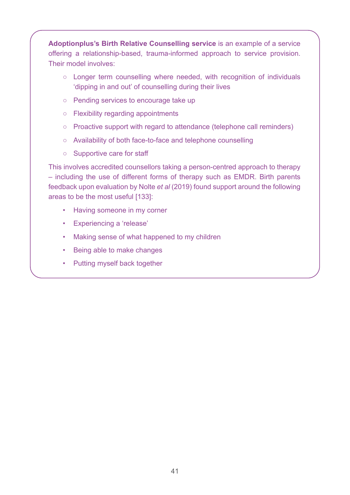**Adoptionplus's Birth Relative Counselling service** is an example of a service offering a relationship-based, trauma-informed approach to service provision. Their model involves:

- Longer term counselling where needed, with recognition of individuals 'dipping in and out' of counselling during their lives
- Pending services to encourage take up
- Flexibility regarding appointments
- Proactive support with regard to attendance (telephone call reminders)
- Availability of both face-to-face and telephone counselling
- Supportive care for staff

This involves accredited counsellors taking a person-centred approach to therapy – including the use of different forms of therapy such as EMDR. Birth parents feedback upon evaluation by Nolte *et al* (2019) found support around the following areas to be the most useful [133]:

- Having someone in my corner
- Experiencing a 'release'
- Making sense of what happened to my children
- Being able to make changes
- Putting myself back together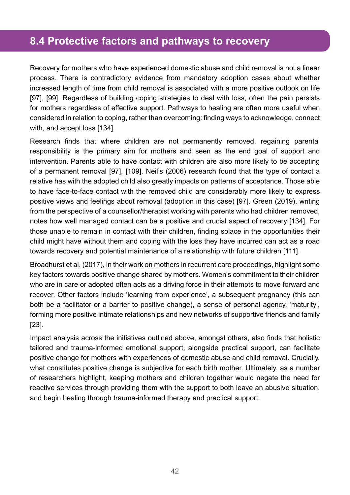#### **8.4 Protective factors and pathways to recovery**

Recovery for mothers who have experienced domestic abuse and child removal is not a linear process. There is contradictory evidence from mandatory adoption cases about whether increased length of time from child removal is associated with a more positive outlook on life [97], [99]. Regardless of building coping strategies to deal with loss, often the pain persists for mothers regardless of effective support. Pathways to healing are often more useful when considered in relation to coping, rather than overcoming: finding ways to acknowledge, connect with, and accept loss [134].

Research finds that where children are not permanently removed, regaining parental responsibility is the primary aim for mothers and seen as the end goal of support and intervention. Parents able to have contact with children are also more likely to be accepting of a permanent removal [97], [109]. Neil's (2006) research found that the type of contact a relative has with the adopted child also greatly impacts on patterns of acceptance. Those able to have face-to-face contact with the removed child are considerably more likely to express positive views and feelings about removal (adoption in this case) [97]. Green (2019), writing from the perspective of a counsellor/therapist working with parents who had children removed, notes how well managed contact can be a positive and crucial aspect of recovery [134]. For those unable to remain in contact with their children, finding solace in the opportunities their child might have without them and coping with the loss they have incurred can act as a road towards recovery and potential maintenance of a relationship with future children [111].

Broadhurst et al. (2017), in their work on mothers in recurrent care proceedings, highlight some key factors towards positive change shared by mothers. Women's commitment to their children who are in care or adopted often acts as a driving force in their attempts to move forward and recover. Other factors include 'learning from experience', a subsequent pregnancy (this can both be a facilitator or a barrier to positive change), a sense of personal agency, 'maturity', forming more positive intimate relationships and new networks of supportive friends and family [23].

Impact analysis across the initiatives outlined above, amongst others, also finds that holistic tailored and trauma-informed emotional support, alongside practical support, can facilitate positive change for mothers with experiences of domestic abuse and child removal. Crucially, what constitutes positive change is subjective for each birth mother. Ultimately, as a number of researchers highlight, keeping mothers and children together would negate the need for reactive services through providing them with the support to both leave an abusive situation, and begin healing through trauma-informed therapy and practical support.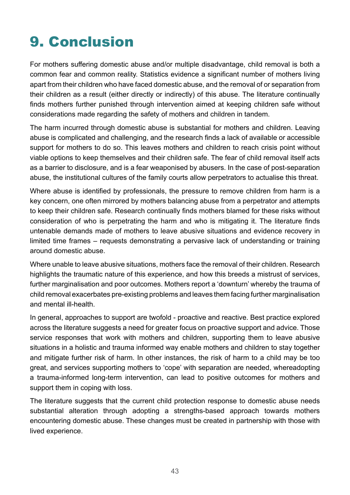# 9. Conclusion

For mothers suffering domestic abuse and/or multiple disadvantage, child removal is both a common fear and common reality. Statistics evidence a significant number of mothers living apart from their children who have faced domestic abuse, and the removal of or separation from their children as a result (either directly or indirectly) of this abuse. The literature continually finds mothers further punished through intervention aimed at keeping children safe without considerations made regarding the safety of mothers and children in tandem.

The harm incurred through domestic abuse is substantial for mothers and children. Leaving abuse is complicated and challenging, and the research finds a lack of available or accessible support for mothers to do so. This leaves mothers and children to reach crisis point without viable options to keep themselves and their children safe. The fear of child removal itself acts as a barrier to disclosure, and is a fear weaponised by abusers. In the case of post-separation abuse, the institutional cultures of the family courts allow perpetrators to actualise this threat.

Where abuse is identified by professionals, the pressure to remove children from harm is a key concern, one often mirrored by mothers balancing abuse from a perpetrator and attempts to keep their children safe. Research continually finds mothers blamed for these risks without consideration of who is perpetrating the harm and who is mitigating it. The literature finds untenable demands made of mothers to leave abusive situations and evidence recovery in limited time frames – requests demonstrating a pervasive lack of understanding or training around domestic abuse.

Where unable to leave abusive situations, mothers face the removal of their children. Research highlights the traumatic nature of this experience, and how this breeds a mistrust of services, further marginalisation and poor outcomes. Mothers report a 'downturn' whereby the trauma of child removal exacerbates pre-existing problems and leaves them facing further marginalisation and mental ill-health.

In general, approaches to support are twofold - proactive and reactive. Best practice explored across the literature suggests a need for greater focus on proactive support and advice. Those service responses that work with mothers and children, supporting them to leave abusive situations in a holistic and trauma informed way enable mothers and children to stay together and mitigate further risk of harm. In other instances, the risk of harm to a child may be too great, and services supporting mothers to 'cope' with separation are needed, whereadopting a trauma-informed long-term intervention, can lead to positive outcomes for mothers and support them in coping with loss.

The literature suggests that the current child protection response to domestic abuse needs substantial alteration through adopting a strengths-based approach towards mothers encountering domestic abuse. These changes must be created in partnership with those with lived experience.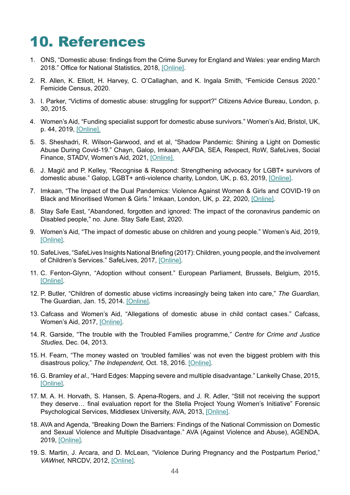# 10. References

- 1. ONS, "Domestic abuse: findings from the Crime Survey for England and Wales: year ending March 2018." Office for National Statistics, 2018, [\[Online\].](https://www.ons.gov.uk/peoplepopulationandcommunity/crimeandjustice/articles/domesticabusefindingsfromthecrimesurveyforenglandandwales/yearendingmarch2018)
- 2. R. Allen, K. Elliott, H. Harvey, C. O'Callaghan, and K. Ingala Smith, "Femicide Census 2020." Femicide Census, 2020.
- 3. I. Parker, "Victims of domestic abuse: struggling for support?" Citizens Advice Bureau, London, p. 30, 2015.
- 4. Women's Aid, "Funding specialist support for domestic abuse survivors." Women's Aid, Bristol, UK, p. 44, 2019, [\[Online\]](https://www.womensaid.org.uk/wp-content/uploads/2019/12/Funding-Specialist-Support-Full-Report.pdf).
- 5. S. Sheshadri, R. Wilson-Garwood, and et al, "Shadow Pandemic: Shining a Light on Domestic Abuse During Covid-19." Chayn, Galop, Imkaan, AAFDA, SEA, Respect, RoW, SafeLives, Social Finance, STADV, Women's Aid, 2021, [\[Online\].](https://safelives.org.uk/sites/default/files/resources/Shadow_Pandemic_Report.pdf)
- 6. J. Magić and P. Kelley, "Recognise & Respond: Strengthening advocacy for LGBT+ survivors of domestic abuse." Galop, LGBT+ anti-violence charity, London, UK, p. 63, 2019, [\[Online\]](https://galop.org.uk/resource/resource-i/).
- 7. Imkaan, "The Impact of the Dual Pandemics: Violence Against Women & Girls and COVID-19 on Black and Minoritised Women & Girls." Imkaan, London, UK, p. 22, 2020, [\[Online\].](https://829ef90d-0745-49b2-b404-cbea85f15fda.filesusr.com/ugd/2f475d_2c6797da42c6454f933837a7290ffe21.pdf)
- 8. Stay Safe East, "Abandoned, forgotten and ignored: The impact of the coronavirus pandemic on Disabled people," no. June. Stay Safe East, 2020.
- 9. Women's Aid, "The impact of domestic abuse on children and young people." Women's Aid, 2019, [\[Online\].](https://www.womensaid.org.uk/information-support/what-is-domestic-abuse/impact-on-children-and-young-people/https://www.womensaid.org.uk/information-support/what-is-domestic-abuse/impact-on-children-and-young-people/)
- 10. SafeLives, "SafeLives Insights National Briefing (2017): Children, young people, and the involvement of Children's Services." SafeLives, 2017, [\[Online\].](https://safelives.org.uk/sites/default/files/resources/Insights%20National%20Dataset%20Briefing%202017%20-%20children.pdf)
- 11. C. Fenton-Glynn, "Adoption without consent." European Parliament, Brussels, Belgium, 2015, [\[Online\].](https://www.europarl.europa.eu/RegData/etudes/STUD/2015/519236/IPOL_STU(2015)519236_EN.pdf)
- 12. P. Butler, "Children of domestic abuse victims increasingly being taken into care," *The Guardian,* The Guardian, Jan. 15, 2014. [\[Online\]](https://www.theguardian.com/society/2014/jan/15/children-domestic-violence-parents-care).
- 13. Cafcass and Women's Aid, "Allegations of domestic abuse in child contact cases." Cafcass, Women's Aid, 2017, [\[Online\]](https://www.cafcass.gov.uk/wp-content/uploads/2017/12/Allegations-of-domestic-abuse-in-child-contact-cases-2017.pdf).
- 14. R. Garside, "The trouble with the Troubled Families programme," *Centre for Crime and Justice Studies,* Dec. 04, 2013.
- 15. H. Fearn, "The money wasted on 'troubled families' was not even the biggest problem with this disastrous policy," *The Independent,* Oct. 18, 2016. [\[Online\].](https://www.independent.co.uk/voices/troubled-families-programme-report-damning-failed-biggest-problem-disastrous-policy-a7367736.html)
- 16. G. Bramley *et al.,* "Hard Edges: Mapping severe and multiple disadvantage." Lankelly Chase, 2015, [\[Online\].](https://lankellychase.org.uk/assets/0000/2858/Hard_Edges_Mapping_SMD_FINAL_VERSION_Web.pdf)
- 17. M. A. H. Horvath, S. Hansen, S. Apena-Rogers, and J. R. Adler, "Still not receiving the support they deserve… final evaluation report for the Stella Project Young Women's Initiative" Forensic Psychological Services, Middlesex University, AVA, 2013, [\[Online\]](https://eprints.mdx.ac.uk/12360/).
- 18. AVA and Agenda, "Breaking Down the Barriers: Findings of the National Commission on Domestic and Sexual Violence and Multiple Disadvantage." AVA (Against Violence and Abuse), AGENDA, 2019, [\[Online\].](https://avaproject.org.uk/wp/wp-content/uploads/2019/02/Breaking-down-the-Barriers-full-report-.pdf)
- 19. S. Martin, J. Arcara, and D. McLean, "Violence During Pregnancy and the Postpartum Period," *VAWnet,* NRCDV, 2012, [\[Online\]](https://vawnet.org/material/violence-during-pregnancy-and-postpartum-period#:~:text=Violence%20in%20pregnancy%20and%20postpartum,Casanueva%2C%20%26%20Kupper%2C%202004%3B).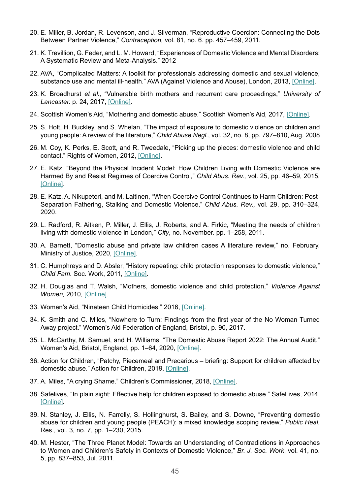- 20. E. Miller, B. Jordan, R. Levenson, and J. Silverman, "Reproductive Coercion: Connecting the Dots Between Partner Violence," *Contraception,* vol. 81, no. 6. pp. 457–459, 2011.
- 21. K. Trevillion, G. Feder, and L. M. Howard, "Experiences of Domestic Violence and Mental Disorders: A Systematic Review and Meta-Analysis." 2012
- 22. AVA, "Complicated Matters: A toolkit for professionals addressing domestic and sexual violence, substance use and mental ill-health." AVA (Against Violence and Abuse), London, 2013, [\[Online\].](https://equation.org.uk/product/complicated-matters-ava-toolkit/)
- 23. K. Broadhurst *et al.,* "Vulnerable birth mothers and recurrent care proceedings," *University of Lancaster.* p. 24, 2017, [\[Online\]](https://www.nuffieldfoundation.org/sites/default/files/files/rc-final-summary-report-v1_6.pdf).
- 24. Scottish Women's Aid, "Mothering and domestic abuse." Scottish Women's Aid, 2017, [\[Online\].](https://womensaid.scot/wp-content/uploads/2017/09/MotheringDomesticAbuse.pdf)
- 25. S. Holt, H. Buckley, and S. Whelan, "The impact of exposure to domestic violence on children and young people: A review of the literature," *Child Abuse Negl.*, vol. 32, no. 8, pp. 797–810, Aug. 2008
- 26. M. Coy, K. Perks, E. Scott, and R. Tweedale, "Picking up the pieces: domestic violence and child contact." Rights of Women, 2012, [\[Online\]](https://rightsofwomen.org.uk/wp-content/uploads/2014/10/Picking_Up_the_Pieces_Report-2012l.pdf).
- 27. E. Katz, "Beyond the Physical Incident Model: How Children Living with Domestic Violence are Harmed By and Resist Regimes of Coercive Control," *Child Abus. Rev.,* vol. 25, pp. 46–59, 2015, [\[Online\].](http://fileserver.wave-network.org/home/EmmaKatz.pdf)
- 28. E. Katz, A. Nikupeteri, and M. Laitinen, "When Coercive Control Continues to Harm Children: Post-Separation Fathering, Stalking and Domestic Violence," *Child Abus. Rev.,* vol. 29, pp. 310–324, 2020.
- 29. L. Radford, R. Aitken, P. Miller, J. Ellis, J. Roberts, and A. Firkic, "Meeting the needs of children living with domestic violence in London," *City*, no. November. pp. 1–258, 2011.
- 30. A. Barnett, "Domestic abuse and private law children cases A literature review," no. February. Ministry of Justice, 2020, [\[Online\]](https://www.gov.uk/government/organisations/ministry-of-justice/about/research).
- 31. C. Humphreys and D. Absler, "History repeating: child protection responses to domestic violence," *Child Fam.* Soc. Work, 2011, [\[Online\].](https://onlinelibrary.wiley.com/doi/abs/10.1111/j.1365-2206.2011.00761.x)
- 32. H. Douglas and T. Walsh, "Mothers, domestic violence and child protection," *Violence Against Women,* 2010, [\[Online\].](https://journals.sagepub.com/doi/10.1177/1077801210365887)
- 33. Women's Aid, "Nineteen Child Homicides," 2016, [\[Online\]](https://www.womensaid.org.uk/wp-content/uploads/2016/01/Child-First-Nineteen-Child-Homicides-Report.pdf).
- 34. K. Smith and C. Miles, "Nowhere to Turn: Findings from the first year of the No Woman Turned Away project." Women's Aid Federation of England, Bristol, p. 90, 2017.
- 35. L. McCarthy, M. Samuel, and H. Williams, "The Domestic Abuse Report 2022: The Annual Audit." Women's Aid, Bristol, England, pp. 1–64, 2020, [\[Online\].](https://www.womensaid.org.uk/wp-content/uploads/2022/03/The-Domestic-Abuse-Report-2022-The-Annual-Audit.pdf)
- 36. Action for Children, "Patchy, Piecemeal and Precarious briefing: Support for children affected by domestic abuse." Action for Children, 2019, [\[Online\]](https://media.actionforchildren.org.uk/documents/Patchy_piecemeal_and_precarious_briefing.pdf).
- 37. A. Miles, "A crying Shame." Children's Commissioner, 2018, [\[Online\].](https://media.actionforchildren.org.uk/documents/Patchy_piecemeal_and_precarious_briefing.pdf)
- 38. Safelives, "In plain sight: Effective help for children exposed to domestic abuse." SafeLives, 2014, [\[Online\].](https://safelives.org.uk/sites/default/files/resources/Final%20policy%20report%20In%20plain%20sight%20-%20effective%20help%20for%20children%20exposed%20to%20domestic%20abuse.pdf)
- 39. N. Stanley, J. Ellis, N. Farrelly, S. Hollinghurst, S. Bailey, and S. Downe, "Preventing domestic abuse for children and young people (PEACH): a mixed knowledge scoping review," *Public Heal.* Res., vol. 3, no. 7, pp. 1–230, 2015.
- 40. M. Hester, "The Three Planet Model: Towards an Understanding of Contradictions in Approaches to Women and Children's Safety in Contexts of Domestic Violence," *Br. J. Soc. Work*, vol. 41, no. 5, pp. 837–853, Jul. 2011.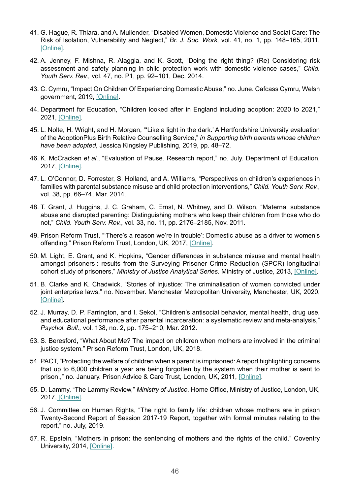- 41. G. Hague, R. Thiara, and A. Mullender, "Disabled Women, Domestic Violence and Social Care: The Risk of Isolation, Vulnerability and Neglect," *Br. J. Soc. Work,* vol. 41, no. 1, pp. 148–165, 2011, [\[Online\].](https://www.jstor.org/stable/43772532)
- 42. A. Jenney, F. Mishna, R. Alaggia, and K. Scott, "Doing the right thing? (Re) Considering risk assessment and safety planning in child protection work with domestic violence cases," *Child. Youth Serv. Rev.,* vol. 47, no. P1, pp. 92–101, Dec. 2014.
- 43. C. Cymru, "Impact On Children Of Experiencing Domestic Abuse," no. June. Cafcass Cymru, Welsh government, 2019, [\[Online\].](https://gov.wales/sites/default/files/publications/2019-08/cafcass-cymru-impact-on%20children-experiencing-domestic-abuse.pdf)
- 44. Department for Education, "Children looked after in England including adoption: 2020 to 2021," 2021, [\[Online\].](https://www.gov.uk/government/statistics/children-looked-after-in-england-including-adoption-2020-to-2021)
- 45. L. Nolte, H. Wright, and H. Morgan, "'Like a light in the dark.' A Hertfordshire University evaluation of the AdoptionPlus Birth Relative Counselling Service," *in Supporting birth parents whose children have been adopted,* Jessica Kingsley Publishing, 2019, pp. 48–72.
- 46. K. McCracken *et al.*, "Evaluation of Pause. Research report," no. July. Department of Education, 2017, [\[Online\].](https://www.gov.uk/government/publications/social-care-pause-programme)
- 47. L. O'Connor, D. Forrester, S. Holland, and A. Williams, "Perspectives on children's experiences in families with parental substance misuse and child protection interventions," *Child. Youth Serv. Rev.*, vol. 38, pp. 66–74, Mar. 2014.
- 48. T. Grant, J. Huggins, J. C. Graham, C. Ernst, N. Whitney, and D. Wilson, "Maternal substance abuse and disrupted parenting: Distinguishing mothers who keep their children from those who do not," *Child. Youth Serv. Rev.*, vol. 33, no. 11, pp. 2176–2185, Nov. 2011.
- 49. Prison Reform Trust, "'There's a reason we're in trouble': Domestic abuse as a driver to women's offending." Prison Reform Trust, London, UK, 2017, [\[Online\]](http://www.prisonreformtrust.org.uk/Portals/0/Documents/Domestic_abuse_report_final_lo.pdf).
- 50. M. Light, E. Grant, and K. Hopkins, "Gender differences in substance misuse and mental health amongst prisoners : results from the Surveying Prisoner Crime Reduction (SPCR) longitudinal cohort study of prisoners," *Ministry of Justice Analytical Series.* Ministry of Justice, 2013, [\[Online\].](https://assets.publishing.service.gov.uk/government/uploads/system/uploads/attachment_data/file/220060/gender-substance-misuse-mental-health-prisoners.pdf)
- 51. B. Clarke and K. Chadwick, "Stories of Injustice: The criminalisation of women convicted under joint enterprise laws," no. November. Manchester Metropolitan University, Manchester, UK, 2020, [\[Online\].](https://www.crimeandjustice.org.uk/sites/crimeandjustice.org.uk/files/Stories%20of%20injustice.pdf)
- 52. J. Murray, D. P. Farrington, and I. Sekol, "Children's antisocial behavior, mental health, drug use, and educational performance after parental incarceration: a systematic review and meta-analysis," *Psychol. Bull.,* vol. 138, no. 2, pp. 175–210, Mar. 2012.
- 53. S. Beresford, "What About Me? The impact on children when mothers are involved in the criminal justice system." Prison Reform Trust, London, UK, 2018.
- 54. PACT, "Protecting the welfare of children when a parent is imprisoned: A report highlighting concerns that up to 6,000 children a year are being forgotten by the system when their mother is sent to prison.," no. January. Prison Advice & Care Trust, London, UK, 2011, [\[Online\]](https://childhub.org/en/system/tdf/library/attachments/1174_Protecting_children_original.pdf?file=1&id=6531&type=node).
- 55. D. Lammy, "The Lammy Review," *Ministry of Justice.* Home Office, Ministry of Justice, London, UK, 2017, [\[Online\].](https://assets.publishing.service.gov.uk/government/uploads/system/uploads/attachment_data/file/643001/lammy-review-final-report.pdf)
- 56. J. Committee on Human Rights, "The right to family life: children whose mothers are in prison Twenty-Second Report of Session 2017-19 Report, together with formal minutes relating to the report," no. July, 2019.
- 57. R. Epstein, "Mothers in prison: the sentencing of mothers and the rights of the child." Coventry University, 2014, [\[Online\]](https://childrenofprisoners.eu/wp-content/uploads/2015/03/EJPI_01_20151.pdf).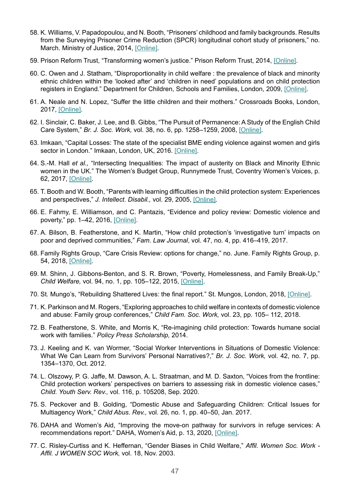- 58. K. Williams, V. Papadopoulou, and N. Booth, "Prisoners' childhood and family backgrounds. Results from the Surveying Prisoner Crime Reduction (SPCR) longitudinal cohort study of prisoners," no. March. Ministry of Justice, 2014, [\[Online\].](https://www.gov.uk/government/organisations/ministry-of-justice/about/research)
- 59. Prison Reform Trust, "Transforming women's justice." Prison Reform Trust, 2014, [\[Online\].](http://www.prisonreformtrust.org.uk/Portals/0/Documents/Transforming%20Rehabilitation%20Women%20FINAL.pdf)
- 60. C. Owen and J. Statham, "Disproportionality in child welfare : the prevalence of black and minority ethnic children within the 'looked after' and 'children in need' populations and on child protection registers in England." Department for Children, Schools and Families, London, 2009, [\[Online\]](https://discovery.ucl.ac.uk/id/eprint/10002619/).
- 61. A. Neale and N. Lopez, "Suffer the little children and their mothers." Crossroads Books, London, 2017, [\[Online\].](http://legalactionforwomen.net/wp-content/uploads/2017/01/LAW-Dossier-18Jan17-final.pdf)
- 62. I. Sinclair, C. Baker, J. Lee, and B. Gibbs, "The Pursuit of Permanence: A Study of the English Child Care System," *Br. J. Soc. Work,* vol. 38, no. 6, pp. 1258–1259, 2008, [\[Online\].](https://academic.oup.com/bjsw/article-abstract/38/6/1258/1663749)
- 63. Imkaan, "Capital Losses: The state of the specialist BME ending violence against women and girls sector in London." Imkaan, London, UK, 2016. [\[Online\]](https://www.trustforlondon.org.uk/publications/capital-losses-state-specialist-bme-ending-violence-against-women-and-girls-sector-london/).
- 64. S.-M. Hall *et al.,* "Intersecting Inequalities: The impact of austerity on Black and Minority Ethnic women in the UK." The Women's Budget Group, Runnymede Trust, Coventry Women's Voices, p. 62, 2017, [\[Online\].](https://wbg.org.uk/wp-content/uploads/2019/09/FINAL-Spending-review-response-06-09-19.pdf)
- 65. T. Booth and W. Booth, "Parents with learning difficulties in the child protection system: Experiences and perspectives," *J. Intellect. Disabil.,* vol. 29, 2005, [\[Online\].](https://journals.sagepub.com/doi/10.1177/1744629505053922)
- 66. E. Fahmy, E. Williamson, and C. Pantazis, "Evidence and policy review: Domestic violence and poverty," pp. 1–42, 2016, [\[Online\]](https://research-information.bris.ac.uk/ws/portalfiles/portal/80376377/JRF_DV_POVERTY_REPORT_FINAL_COPY_.pdf).
- 67. A. Bilson, B. Featherstone, and K. Martin, "How child protection's 'investigative turn' impacts on poor and deprived communities," *Fam. Law Journal*, vol. 47, no. 4, pp. 416–419, 2017.
- 68. Family Rights Group, "Care Crisis Review: options for change," no. June. Family Rights Group, p. 54, 2018, [\[Online\].](https://www.basw.co.uk/system/files/resources/care-crisis-review.pdf)
- 69. M. Shinn, J. Gibbons-Benton, and S. R. Brown, "Poverty, Homelessness, and Family Break-Up," *Child Welfare,* vol. 94, no. 1, pp. 105–122, 2015, [\[Online\].](https://www.ncbi.nlm.nih.gov/pmc/articles/PMC5760188/)
- 70. St. Mungo's, "Rebuilding Shattered Lives: the final report." St. Mungos, London, 2018, [\[Online\]](https://www.mungos.org/app/uploads/2017/12/Rebuilding_Shattered_Lives_2014.pdf).
- 71. K. Parkinson and M. Rogers, "Exploring approaches to child welfare in contexts of domestic violence and abuse: Family group conferences," *Child Fam. Soc. Work,* vol. 23, pp. 105– 112, 2018.
- 72. B. Featherstone, S. White, and Morris K, "Re-imagining child protection: Towards humane social work with families." *Policy Press Scholarship,* 2014.
- 73. J. Keeling and K. van Wormer, "Social Worker Interventions in Situations of Domestic Violence: What We Can Learn from Survivors' Personal Narratives?," *Br. J. Soc. Work,* vol. 42, no. 7, pp. 1354–1370, Oct. 2012.
- 74. L. Olszowy, P. G. Jaffe, M. Dawson, A. L. Straatman, and M. D. Saxton, "Voices from the frontline: Child protection workers' perspectives on barriers to assessing risk in domestic violence cases," *Child. Youth Serv. Rev.,* vol. 116, p. 105208, Sep. 2020.
- 75. S. Peckover and B. Golding, "Domestic Abuse and Safeguarding Children: Critical Issues for Multiagency Work," *Child Abus. Rev.,* vol. 26, no. 1, pp. 40–50, Jan. 2017.
- 76. DAHA and Women's Aid, "Improving the move-on pathway for survivors in refuge services: A recommendations report." DAHA, Women's Aid, p. 13, 2020, [\[Online\].](https://www.womensaid.org.uk/wp-content/uploads/2021/01/Improving-the-move-on-pathway-for-survivors-in-refuge-services-a-recommendations-report.pdf)
- 77. C. Risley-Curtiss and K. Heffernan, "Gender Biases in Child Welfare," *Affil. Women Soc. Work Affil. J WOMEN SOC Work,* vol. 18, Nov. 2003.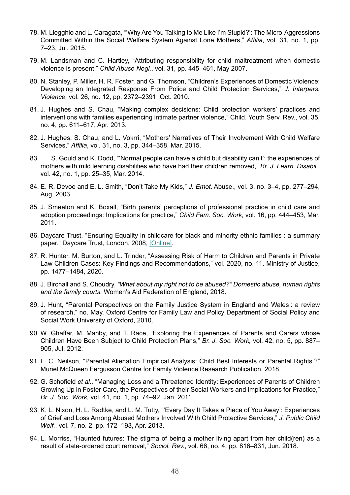- 78. M. Liegghio and L. Caragata, "'Why Are You Talking to Me Like I'm Stupid?': The Micro-Aggressions Committed Within the Social Welfare System Against Lone Mothers," *Affilia*, vol. 31, no. 1, pp. 7–23, Jul. 2015.
- 79. M. Landsman and C. Hartley, "Attributing responsibility for child maltreatment when domestic violence is present," *Child Abuse Negl.*, vol. 31, pp. 445–461, May 2007.
- 80. N. Stanley, P. Miller, H. R. Foster, and G. Thomson, "Children's Experiences of Domestic Violence: Developing an Integrated Response From Police and Child Protection Services," *J. Interpers. Violence,* vol. 26, no. 12, pp. 2372–2391, Oct. 2010.
- 81. J. Hughes and S. Chau, "Making complex decisions: Child protection workers' practices and interventions with families experiencing intimate partner violence," Child. Youth Serv. Rev., vol. 35, no. 4, pp. 611–617, Apr. 2013.
- 82. J. Hughes, S. Chau, and L. Vokrri, "Mothers' Narratives of Their Involvement With Child Welfare Services," *Affilia*, vol. 31, no. 3, pp. 344–358, Mar. 2015.
- 83. S. Gould and K. Dodd, "'Normal people can have a child but disability can't': the experiences of mothers with mild learning disabilities who have had their children removed," *Br. J. Learn. Disabil.*, vol. 42, no. 1, pp. 25–35, Mar. 2014.
- 84. E. R. Devoe and E. L. Smith, "Don't Take My Kids," *J. Emot.* Abuse., vol. 3, no. 3–4, pp. 277–294, Aug. 2003.
- 85. J. Smeeton and K. Boxall, "Birth parents' perceptions of professional practice in child care and adoption proceedings: Implications for practice," *Child Fam. Soc. Work,* vol. 16, pp. 444–453, Mar. 2011.
- 86. Daycare Trust, "Ensuring Equality in childcare for black and minority ethnic families : a summary paper." Daycare Trust, London, 2008, [\[Online\]](https://www.valeofglamorgan.gov.uk/Documents/Living/Social%20Care/Ensuring-Equality-in-childcare-for-black-and-minority-ethnic-families-a-summary%5B1%5D.pdf).
- 87. R. Hunter, M. Burton, and L. Trinder, "Assessing Risk of Harm to Children and Parents in Private Law Children Cases: Key Findings and Recommendations," vol. 2020, no. 11. Ministry of Justice, pp. 1477–1484, 2020.
- 88. J. Birchall and S. Choudry, *"What about my right not to be abused?" Domestic abuse, human rights and the family courts.* Women's Aid Federation of England, 2018.
- 89. J. Hunt, "Parental Perspectives on the Family Justice System in England and Wales : a review of research," no. May. Oxford Centre for Family Law and Policy Department of Social Policy and Social Work University of Oxford, 2010.
- 90. W. Ghaffar, M. Manby, and T. Race, "Exploring the Experiences of Parents and Carers whose Children Have Been Subject to Child Protection Plans," *Br. J. Soc. Work,* vol. 42, no. 5, pp. 887– 905, Jul. 2012.
- 91. L. C. Neilson, "Parental Alienation Empirical Analysis: Child Best Interests or Parental Rights ?" Muriel McQueen Fergusson Centre for Family Violence Research Publication, 2018.
- 92. G. Schofield *et al.,* "Managing Loss and a Threatened Identity: Experiences of Parents of Children Growing Up in Foster Care, the Perspectives of their Social Workers and Implications for Practice," *Br. J. Soc. Work,* vol. 41, no. 1, pp. 74–92, Jan. 2011.
- 93. K. L. Nixon, H. L. Radtke, and L. M. Tutty, "'Every Day It Takes a Piece of You Away': Experiences of Grief and Loss Among Abused Mothers Involved With Child Protective Services," *J. Public Child Welf.*, vol. 7, no. 2, pp. 172–193, Apr. 2013.
- 94. L. Morriss, "Haunted futures: The stigma of being a mother living apart from her child(ren) as a result of state-ordered court removal," *Sociol. Rev.*, vol. 66, no. 4, pp. 816–831, Jun. 2018.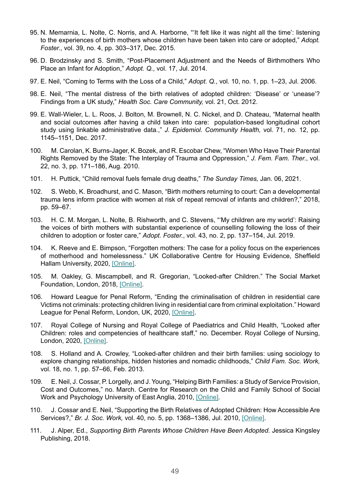- 95. N. Memarnia, L. Nolte, C. Norris, and A. Harborne, "'It felt like it was night all the time': listening to the experiences of birth mothers whose children have been taken into care or adopted," *Adopt. Foster.*, vol. 39, no. 4, pp. 303–317, Dec. 2015.
- 96. D. Brodzinsky and S. Smith, "Post-Placement Adjustment and the Needs of Birthmothers Who Place an Infant for Adoption," *Adopt. Q.*, vol. 17, Jul. 2014.
- 97. E. Neil, "Coming to Terms with the Loss of a Child," *Adopt. Q.*, vol. 10, no. 1, pp. 1–23, Jul. 2006.
- 98. E. Neil, "The mental distress of the birth relatives of adopted children: 'Disease' or 'unease'? Findings from a UK study," *Health Soc. Care Community,* vol. 21, Oct. 2012.
- 99. E. Wall-Wieler, L. L. Roos, J. Bolton, M. Brownell, N. C. Nickel, and D. Chateau, "Maternal health and social outcomes after having a child taken into care: population-based longitudinal cohort study using linkable administrative data.," *J. Epidemiol. Community Health,* vol. 71, no. 12, pp. 1145–1151, Dec. 2017.
- 100. M. Carolan, K. Burns-Jager, K. Bozek, and R. Escobar Chew, "Women Who Have Their Parental Rights Removed by the State: The Interplay of Trauma and Oppression," *J. Fem. Fam. Ther.*, vol. 22, no. 3, pp. 171–186, Aug. 2010.
- 101. H. Puttick, "Child removal fuels female drug deaths," *The Sunday Times,* Jan. 06, 2021.
- 102. S. Webb, K. Broadhurst, and C. Mason, "Birth mothers returning to court: Can a developmental trauma lens inform practice with women at risk of repeat removal of infants and children?," 2018, pp. 59–67.
- 103. H. C. M. Morgan, L. Nolte, B. Rishworth, and C. Stevens, "'My children are my world': Raising the voices of birth mothers with substantial experience of counselling following the loss of their children to adoption or foster care," *Adopt. Foster.*, vol. 43, no. 2, pp. 137–154, Jul. 2019.
- 104. K. Reeve and E. Bimpson, "Forgotten mothers: The case for a policy focus on the experiences of motherhood and homelessness." UK Collaborative Centre for Housing Evidence, Sheffield Hallam University, 2020, [\[Online\]](https://housingevidence.ac.uk/wp-content/uploads/2020/11/Motherhood-and-homelessness-policy-brief.pdf).
- 105. M. Oakley, G. Miscampbell, and R. Gregorian, "Looked-after Children." The Social Market Foundation, London, 2018, [\[Online\]](https://www.smf.co.uk/wp-content/uploads/2018/08/Silent-Crisis-PDF.pdf).
- 106. Howard League for Penal Reform, "Ending the criminalisation of children in residential care Victims not criminals: protecting children living in residential care from criminal exploitation." Howard League for Penal Reform, London, UK, 2020, [\[Online\].](https://howardleague.org/wp-content/uploads/2020/03/Victims-not-criminals.pdf)
- 107. Royal College of Nursing and Royal College of Paediatrics and Child Health, "Looked after Children: roles and competencies of healthcare staff," no. December. Royal College of Nursing, London, 2020, [\[Online\]](https://www.rcn.org.uk/professional-development/publications/rcn-looked-after-children-roles-and-competencies-of-healthcare-staff-uk-pub-009486).
- 108. S. Holland and A. Crowley, "Looked-after children and their birth families: using sociology to explore changing relationships, hidden histories and nomadic childhoods," *Child Fam. Soc. Work,*  vol. 18, no. 1, pp. 57–66, Feb. 2013.
- 109. E. Neil, J. Cossar, P. Lorgelly, and J. Young, "Helping Birth Families: a Study of Service Provision, Cost and Outcomes," no. March. Centre for Research on the Child and Family School of Social Work and Psychology University of East Anglia, 2010, [\[Online\]](http://adoptionresearchinitiative.org.uk/briefs/DCSF-RBX10-05.pdf).
- 110. J. Cossar and E. Neil, "Supporting the Birth Relatives of Adopted Children: How Accessible Are Services?," *Br. J. Soc. Work,* vol. 40, no. 5, pp. 1368–1386, Jul. 2010, [\[Online\].](https://academic.oup.com/bjsw/article-abstract/40/5/1368/1723265?redirectedFrom=fulltext)
- 111. J. Alper, Ed., *Supporting Birth Parents Whose Children Have Been Adopted.* Jessica Kingsley Publishing, 2018.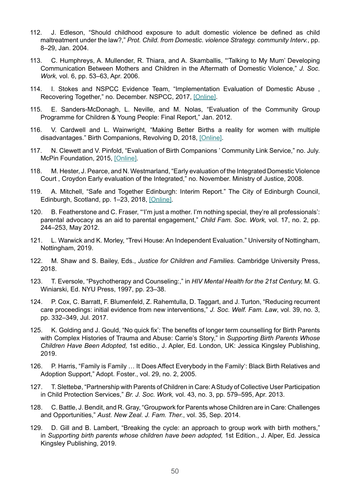- 112. J. Edleson, "Should childhood exposure to adult domestic violence be defined as child maltreatment under the law?," *Prot. Child. from Domestic. violence Strategy. community Interv.*, pp. 8–29, Jan. 2004.
- 113. C. Humphreys, A. Mullender, R. Thiara, and A. Skamballis, "'Talking to My Mum' Developing Communication Between Mothers and Children in the Aftermath of Domestic Violence," *J. Soc. Work,* vol. 6, pp. 53–63, Apr. 2006.
- 114. I. Stokes and NSPCC Evidence Team, "Implementation Evaluation of Domestic Abuse , Recovering Together," no. December. NSPCC, 2017, [\[Online\]](https://learning.nspcc.org.uk/media/1138/implementation-evaluation-domestic-abuse-recovering-together-dart-scale-up.pdf).
- 115. E. Sanders-McDonagh, L. Neville, and M. Nolas, "Evaluation of the Community Group Programme for Children & Young People: Final Report," Jan. 2012.
- 116. V. Cardwell and L. Wainwright, "Making Better Births a reality for women with multiple disadvantages." Birth Companions, Revolving D, 2018, [\[Online\]](http://www.revolving-doors.org.uk/file/2333/download?token=P2z9dlAR).
- 117. N. Clewett and V. Pinfold, "Evaluation of Birth Companions ' Community Link Service," no. July. McPin Foundation, 2015, [\[Online\]](https://mcpin.org/wp-content/uploads/Birth_Companions_Community_Link_Evaluation-Final-published-report.pdf).
- 118. M. Hester, J. Pearce, and N. Westmarland, "Early evaluation of the Integrated Domestic Violence Court , Croydon Early evaluation of the Integrated," no. November. Ministry of Justice, 2008.
- 119. A. Mitchell, "Safe and Together Edinburgh: Interim Report." The City of Edinburgh Council, Edinburgh, Scotland, pp. 1–23, 2018, [\[Online\].](https://www.edinburgh.gov.uk/domestic-abuse)
- 120. B. Featherstone and C. Fraser, "'I'm just a mother. I'm nothing special, they're all professionals': parental advocacy as an aid to parental engagement," *Child Fam. Soc. Work,* vol. 17, no. 2, pp. 244–253, May 2012.
- 121. L. Warwick and K. Morley, "Trevi House: An Independent Evaluation." University of Nottingham, Nottingham, 2019.
- 122. M. Shaw and S. Bailey, Eds., *Justice for Children and Families.* Cambridge University Press, 2018.
- 123. T. Eversole, "Psychotherapy and Counseling:," in *HIV Mental Health for the 21st Century,* M. G. Winiarski, Ed. NYU Press, 1997, pp. 23–38.
- 124. P. Cox, C. Barratt, F. Blumenfeld, Z. Rahemtulla, D. Taggart, and J. Turton, "Reducing recurrent care proceedings: initial evidence from new interventions," *J. Soc. Welf. Fam. Law*, vol. 39, no. 3, pp. 332–349, Jul. 2017.
- 125. K. Golding and J. Gould, "No quick fix': The benefits of longer term counselling for Birth Parents with Complex Histories of Trauma and Abuse: Carrie's Story," in *Supporting Birth Parents Whose Children Have Been Adopted,* 1st editio., J. Apler, Ed. London, UK: Jessica Kingsley Publishing, 2019.
- 126. P. Harris, "Family is Family … It Does Affect Everybody in the Family': Black Birth Relatives and Adoption Support," Adopt. Foster., vol. 29, no. 2, 2005.
- 127. T. Slettebø, "Partnership with Parents of Children in Care: A Study of Collective User Participation in Child Protection Services," *Br. J. Soc. Work,* vol. 43, no. 3, pp. 579–595, Apr. 2013.
- 128. C. Battle, J. Bendit, and R. Gray, "Groupwork for Parents whose Children are in Care: Challenges and Opportunities," *Aust. New Zeal. J. Fam. Ther.*, vol. 35, Sep. 2014.
- 129. D. Gill and B. Lambert, "Breaking the cycle: an approach to group work with birth mothers," in *Supporting birth parents whose children have been adopted,* 1st Edition., J. Alper, Ed. Jessica Kingsley Publishing, 2019.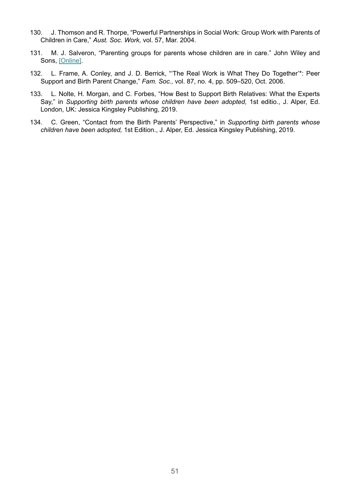- 130. J. Thomson and R. Thorpe, "Powerful Partnerships in Social Work: Group Work with Parents of Children in Care," *Aust. Soc. Work,* vol. 57, Mar. 2004.
- 131. M. J. Salveron, "Parenting groups for parents whose children are in care." John Wiley and Sons, [\[Online\]](http://itupl-ura1.ml.unisa.edu.au/R/?func=dbin-jump-full&object_id=52593).
- 132. L. Frame, A. Conley, and J. D. Berrick, "'The Real Work is What They Do Together'\*: Peer Support and Birth Parent Change," *Fam. Soc.,* vol. 87, no. 4, pp. 509–520, Oct. 2006.
- 133. L. Nolte, H. Morgan, and C. Forbes, "How Best to Support Birth Relatives: What the Experts Say," in *Supporting birth parents whose children have been adopted,* 1st editio., J. Alper, Ed. London, UK: Jessica Kingsley Publishing, 2019.
- 134. C. Green, "Contact from the Birth Parents' Perspective," in *Supporting birth parents whose children have been adopted,* 1st Edition., J. Alper, Ed. Jessica Kingsley Publishing, 2019.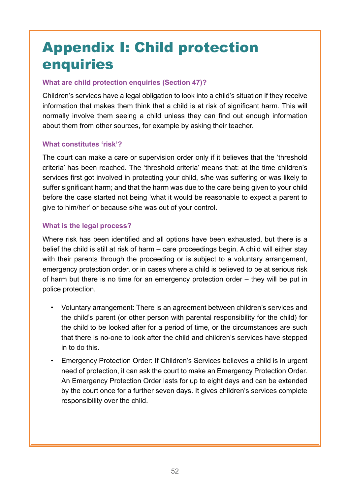# Appendix I: Child protection enquiries

#### **What are child protection enquiries (Section 47)?**

Children's services have a legal obligation to look into a child's situation if they receive information that makes them think that a child is at risk of significant harm. This will normally involve them seeing a child unless they can find out enough information about them from other sources, for example by asking their teacher.

#### **What constitutes 'risk'?**

The court can make a care or supervision order only if it believes that the 'threshold criteria' has been reached. The 'threshold criteria' means that: at the time children's services first got involved in protecting your child, s/he was suffering or was likely to suffer significant harm; and that the harm was due to the care being given to your child before the case started not being 'what it would be reasonable to expect a parent to give to him/her' or because s/he was out of your control.

#### **What is the legal process?**

Where risk has been identified and all options have been exhausted, but there is a belief the child is still at risk of harm – care proceedings begin. A child will either stay with their parents through the proceeding or is subject to a voluntary arrangement, emergency protection order, or in cases where a child is believed to be at serious risk of harm but there is no time for an emergency protection order – they will be put in police protection.

- Voluntary arrangement: There is an agreement between children's services and the child's parent (or other person with parental responsibility for the child) for the child to be looked after for a period of time, or the circumstances are such that there is no-one to look after the child and children's services have stepped in to do this.
- Emergency Protection Order: If Children's Services believes a child is in urgent need of protection, it can ask the court to make an Emergency Protection Order. An Emergency Protection Order lasts for up to eight days and can be extended by the court once for a further seven days. It gives children's services complete responsibility over the child.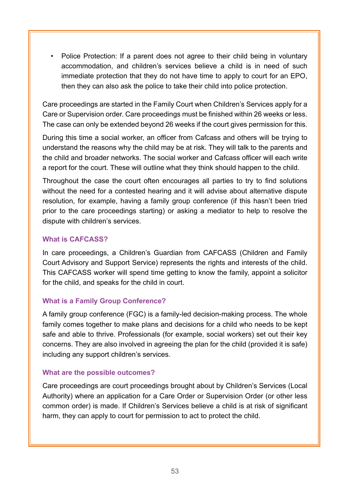• Police Protection: If a parent does not agree to their child being in voluntary accommodation, and children's services believe a child is in need of such immediate protection that they do not have time to apply to court for an EPO, then they can also ask the police to take their child into police protection.

Care proceedings are started in the Family Court when Children's Services apply for a Care or Supervision order. Care proceedings must be finished within 26 weeks or less. The case can only be extended beyond 26 weeks if the court gives permission for this.

During this time a social worker, an officer from Cafcass and others will be trying to understand the reasons why the child may be at risk. They will talk to the parents and the child and broader networks. The social worker and Cafcass officer will each write a report for the court. These will outline what they think should happen to the child.

Throughout the case the court often encourages all parties to try to find solutions without the need for a contested hearing and it will advise about alternative dispute resolution, for example, having a family group conference (if this hasn't been tried prior to the care proceedings starting) or asking a mediator to help to resolve the dispute with children's services.

#### **What is CAFCASS?**

In care proceedings, a Children's Guardian from CAFCASS (Children and Family Court Advisory and Support Service) represents the rights and interests of the child. This CAFCASS worker will spend time getting to know the family, appoint a solicitor for the child, and speaks for the child in court.

#### **What is a Family Group Conference?**

A family group conference (FGC) is a family-led decision-making process. The whole family comes together to make plans and decisions for a child who needs to be kept safe and able to thrive. Professionals (for example, social workers) set out their key concerns. They are also involved in agreeing the plan for the child (provided it is safe) including any support children's services.

#### **What are the possible outcomes?**

Care proceedings are court proceedings brought about by Children's Services (Local Authority) where an application for a Care Order or Supervision Order (or other less common order) is made. If Children's Services believe a child is at risk of significant harm, they can apply to court for permission to act to protect the child.